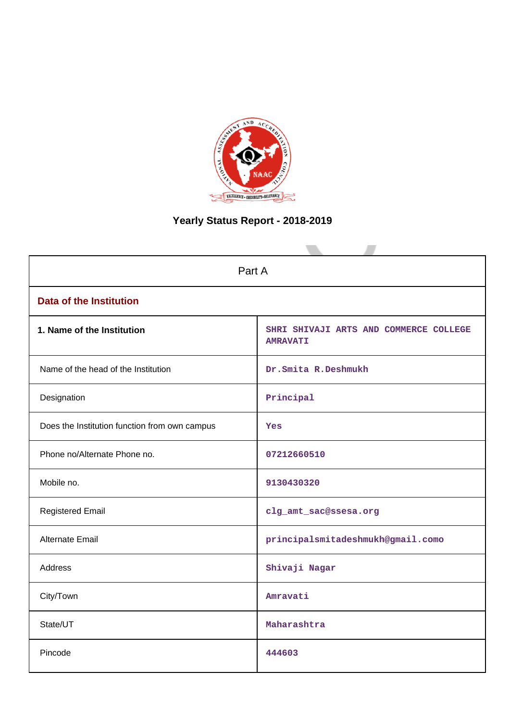

# **Yearly Status Report - 2018-2019**

| Part A                                        |                                                           |  |
|-----------------------------------------------|-----------------------------------------------------------|--|
| <b>Data of the Institution</b>                |                                                           |  |
| 1. Name of the Institution                    | SHRI SHIVAJI ARTS AND COMMERCE COLLEGE<br><b>AMRAVATI</b> |  |
| Name of the head of the Institution           | Dr.Smita R.Deshmukh                                       |  |
| Designation                                   | Principal                                                 |  |
| Does the Institution function from own campus | Yes                                                       |  |
| Phone no/Alternate Phone no.                  | 07212660510                                               |  |
| Mobile no.                                    | 9130430320                                                |  |
| <b>Registered Email</b>                       | clg_amt_sac@ssesa.org                                     |  |
| Alternate Email                               | principalsmitadeshmukh@gmail.como                         |  |
| <b>Address</b>                                | Shivaji Nagar                                             |  |
| City/Town                                     | Amravati                                                  |  |
| State/UT                                      | Maharashtra                                               |  |
| Pincode                                       | 444603                                                    |  |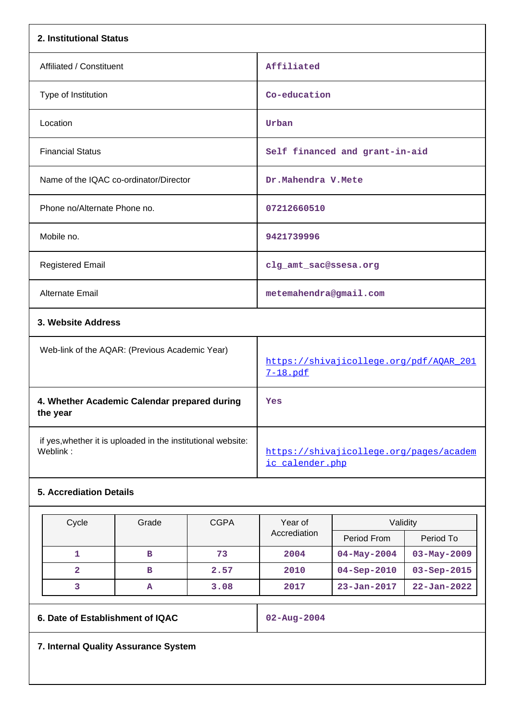| 2. Institutional Status                                                  |                                                            |
|--------------------------------------------------------------------------|------------------------------------------------------------|
| Affiliated / Constituent                                                 | Affiliated                                                 |
| Type of Institution                                                      | Co-education                                               |
| Location                                                                 | Urban                                                      |
| <b>Financial Status</b>                                                  | Self financed and grant-in-aid                             |
| Name of the IQAC co-ordinator/Director                                   | Dr.Mahendra V.Mete                                         |
| Phone no/Alternate Phone no.                                             | 07212660510                                                |
| Mobile no.                                                               | 9421739996                                                 |
| <b>Registered Email</b>                                                  | clg_amt_sac@ssesa.org                                      |
| <b>Alternate Email</b>                                                   | metemahendra@gmail.com                                     |
| 3. Website Address                                                       |                                                            |
| Web-link of the AQAR: (Previous Academic Year)                           | https://shivajicollege.org/pdf/AQAR_201<br>7-18.pdf        |
| 4. Whether Academic Calendar prepared during<br>the year                 | Yes                                                        |
| if yes, whether it is uploaded in the institutional website:<br>Weblink: | https://shivajicollege.org/pages/academ<br>ic calender.php |
| <b>5. Accrediation Details</b>                                           |                                                            |

| Cycle | Grade | <b>CGPA</b> | Year of      | Validity           |                   |  |
|-------|-------|-------------|--------------|--------------------|-------------------|--|
|       |       |             | Accrediation | Period From        | Period To         |  |
|       | в     | 73          | 2004         | $04 - May - 2004$  | $03 - May - 2009$ |  |
| 2     | в     | 2.57        | 2010         | $04 -$ Sep $-2010$ | $03 - Sep - 2015$ |  |
|       | А     | 3.08        | 2017         | $23 - Jan - 2017$  | $22 - Jan - 2022$ |  |

**6. Date of Establishment of IQAC 02-Aug-2004**

**7. Internal Quality Assurance System**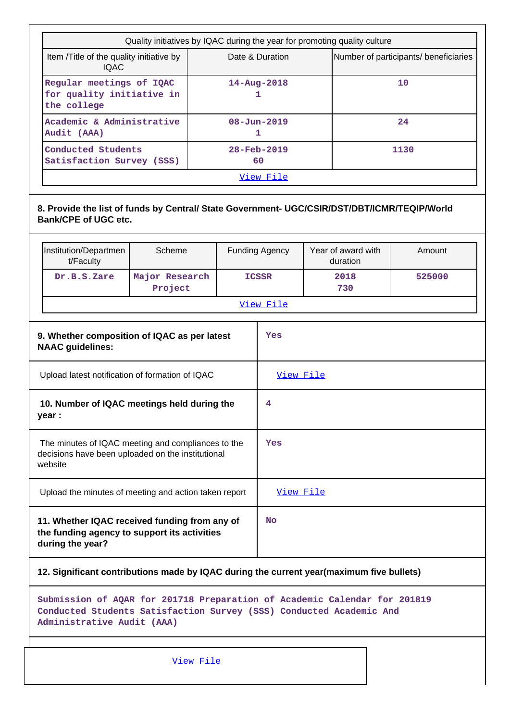| Quality initiatives by IQAC during the year for promoting quality culture |                                                          |      |
|---------------------------------------------------------------------------|----------------------------------------------------------|------|
| Item / Title of the quality initiative by<br><b>IQAC</b>                  | Number of participants/ beneficiaries<br>Date & Duration |      |
| Regular meetings of IQAC<br>for quality initiative in<br>the college      | $14 - Aug - 2018$                                        | 10   |
| Academic & Administrative<br>Audit (AAA)                                  | $08 - Jun - 2019$                                        | 24   |
| Conducted Students<br>Satisfaction Survey (SSS)                           | $28 - Feb - 2019$<br>60                                  | 1130 |
| View File                                                                 |                                                          |      |

# **8. Provide the list of funds by Central/ State Government- UGC/CSIR/DST/DBT/ICMR/TEQIP/World Bank/CPE of UGC etc.**

| Institution/Departmen<br>t/Faculty | Scheme                    | <b>Funding Agency</b> | Year of award with<br>duration | Amount |
|------------------------------------|---------------------------|-----------------------|--------------------------------|--------|
| Dr.B.S.Zare                        | Major Research<br>Project | <b>ICSSR</b>          | 2018<br>730                    | 525000 |
| View File                          |                           |                       |                                |        |

| 9. Whether composition of IQAC as per latest<br><b>NAAC</b> guidelines:                                            | Yes              |
|--------------------------------------------------------------------------------------------------------------------|------------------|
| Upload latest notification of formation of IQAC                                                                    | <u>View File</u> |
| 10. Number of IQAC meetings held during the<br>year :                                                              | 4                |
| The minutes of IQAC meeting and compliances to the<br>decisions have been uploaded on the institutional<br>website | Yes              |
| Upload the minutes of meeting and action taken report                                                              | View File        |
| 11. Whether IQAC received funding from any of<br>the funding agency to support its activities<br>during the year?  | No               |

# **12. Significant contributions made by IQAC during the current year(maximum five bullets)**

**Submission of AQAR for 201718 Preparation of Academic Calendar for 201819 Conducted Students Satisfaction Survey (SSS) Conducted Academic And Administrative Audit (AAA)**

[View File](https://assessmentonline.naac.gov.in/public/Postacc/Contribution/5223_Contribution.xlsx)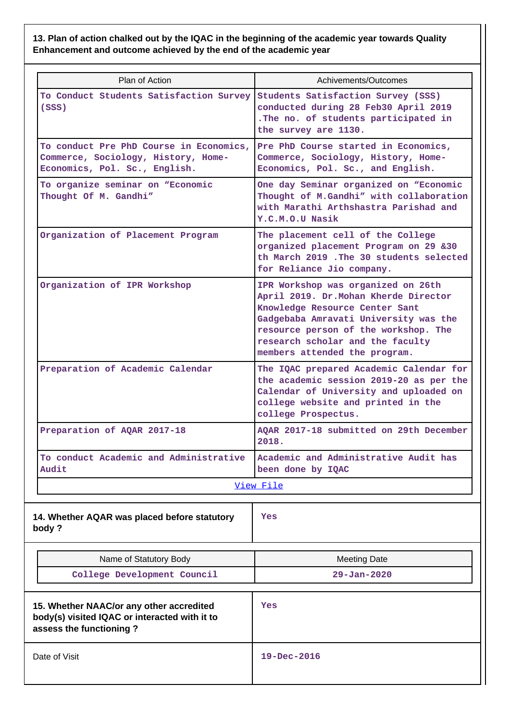**13. Plan of action chalked out by the IQAC in the beginning of the academic year towards Quality Enhancement and outcome achieved by the end of the academic year**

| Plan of Action                                                                                                       | Achivements/Outcomes                                                                                                                                                                                                                                                |
|----------------------------------------------------------------------------------------------------------------------|---------------------------------------------------------------------------------------------------------------------------------------------------------------------------------------------------------------------------------------------------------------------|
| To Conduct Students Satisfaction Survey<br>(SSS)                                                                     | Students Satisfaction Survey (SSS)<br>conducted during 28 Feb30 April 2019<br>. The no. of students participated in<br>the survey are 1130.                                                                                                                         |
| To conduct Pre PhD Course in Economics,<br>Commerce, Sociology, History, Home-<br>Economics, Pol. Sc., English.      | Pre PhD Course started in Economics,<br>Commerce, Sociology, History, Home-<br>Economics, Pol. Sc., and English.                                                                                                                                                    |
| To organize seminar on "Economic<br>Thought Of M. Gandhi"                                                            | One day Seminar organized on "Economic<br>Thought of M.Gandhi" with collaboration<br>with Marathi Arthshastra Parishad and<br>Y.C.M.O.U Nasik                                                                                                                       |
| Organization of Placement Program                                                                                    | The placement cell of the College<br>organized placement Program on 29 &30<br>th March 2019. The 30 students selected<br>for Reliance Jio company.                                                                                                                  |
| Organization of IPR Workshop                                                                                         | IPR Workshop was organized on 26th<br>April 2019. Dr. Mohan Kherde Director<br>Knowledge Resource Center Sant<br>Gadgebaba Amravati University was the<br>resource person of the workshop. The<br>research scholar and the faculty<br>members attended the program. |
| Preparation of Academic Calendar                                                                                     | The IQAC prepared Academic Calendar for<br>the academic session 2019-20 as per the<br>Calendar of University and uploaded on<br>college website and printed in the<br>college Prospectus.                                                                           |
| Preparation of AQAR 2017-18                                                                                          | AOAR 2017-18 submitted on 29th December<br>2018.                                                                                                                                                                                                                    |
| To conduct Academic and Administrative<br>Audit                                                                      | Academic and Administrative Audit has<br>been done by IQAC                                                                                                                                                                                                          |
|                                                                                                                      | View File                                                                                                                                                                                                                                                           |
| 14. Whether AQAR was placed before statutory<br>body?                                                                | Yes                                                                                                                                                                                                                                                                 |
| Name of Statutory Body                                                                                               | <b>Meeting Date</b>                                                                                                                                                                                                                                                 |
| College Development Council                                                                                          | $29 - Jan - 2020$                                                                                                                                                                                                                                                   |
| 15. Whether NAAC/or any other accredited<br>body(s) visited IQAC or interacted with it to<br>assess the functioning? | Yes                                                                                                                                                                                                                                                                 |
| Date of Visit                                                                                                        | $19 - Dec - 2016$                                                                                                                                                                                                                                                   |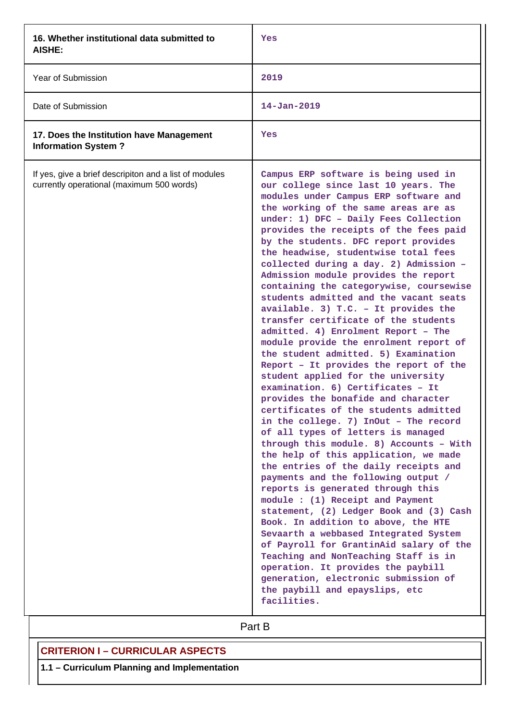| 16. Whether institutional data submitted to<br>AISHE:                                               | Yes                                                                                                                                                                                                                                                                                                                                                                                                                                                                                                                                                                                                                                                                                                                                                                                                                                                                                                                                                                                                                                                                                                                                                                                                                                                                                                                                                                                                                                                                                                                                                                                              |
|-----------------------------------------------------------------------------------------------------|--------------------------------------------------------------------------------------------------------------------------------------------------------------------------------------------------------------------------------------------------------------------------------------------------------------------------------------------------------------------------------------------------------------------------------------------------------------------------------------------------------------------------------------------------------------------------------------------------------------------------------------------------------------------------------------------------------------------------------------------------------------------------------------------------------------------------------------------------------------------------------------------------------------------------------------------------------------------------------------------------------------------------------------------------------------------------------------------------------------------------------------------------------------------------------------------------------------------------------------------------------------------------------------------------------------------------------------------------------------------------------------------------------------------------------------------------------------------------------------------------------------------------------------------------------------------------------------------------|
| Year of Submission                                                                                  | 2019                                                                                                                                                                                                                                                                                                                                                                                                                                                                                                                                                                                                                                                                                                                                                                                                                                                                                                                                                                                                                                                                                                                                                                                                                                                                                                                                                                                                                                                                                                                                                                                             |
| Date of Submission                                                                                  | $14 - Jan - 2019$                                                                                                                                                                                                                                                                                                                                                                                                                                                                                                                                                                                                                                                                                                                                                                                                                                                                                                                                                                                                                                                                                                                                                                                                                                                                                                                                                                                                                                                                                                                                                                                |
| 17. Does the Institution have Management<br><b>Information System?</b>                              | Yes                                                                                                                                                                                                                                                                                                                                                                                                                                                                                                                                                                                                                                                                                                                                                                                                                                                                                                                                                                                                                                                                                                                                                                                                                                                                                                                                                                                                                                                                                                                                                                                              |
| If yes, give a brief descripiton and a list of modules<br>currently operational (maximum 500 words) | Campus ERP software is being used in<br>our college since last 10 years. The<br>modules under Campus ERP software and<br>the working of the same areas are as<br>under: 1) DFC - Daily Fees Collection<br>provides the receipts of the fees paid<br>by the students. DFC report provides<br>the headwise, studentwise total fees<br>collected during a day. 2) Admission -<br>Admission module provides the report<br>containing the categorywise, coursewise<br>students admitted and the vacant seats<br>available. 3) $T.C. - It provides the$<br>transfer certificate of the students<br>admitted. 4) Enrolment Report - The<br>module provide the enrolment report of<br>the student admitted. 5) Examination<br>Report - It provides the report of the<br>student applied for the university<br>examination. 6) Certificates - It<br>provides the bonafide and character<br>certificates of the students admitted<br>in the college. 7) InOut - The record<br>of all types of letters is managed<br>through this module. 8) Accounts - With<br>the help of this application, we made<br>the entries of the daily receipts and<br>payments and the following output /<br>reports is generated through this<br>module : (1) Receipt and Payment<br>statement, (2) Ledger Book and (3) Cash<br>Book. In addition to above, the HTE<br>Sevaarth a webbased Integrated System<br>of Payroll for GrantinAid salary of the<br>Teaching and NonTeaching Staff is in<br>operation. It provides the paybill<br>generation, electronic submission of<br>the paybill and epayslips, etc<br>facilities. |

Part B

# **CRITERION I – CURRICULAR ASPECTS**

**1.1 – Curriculum Planning and Implementation**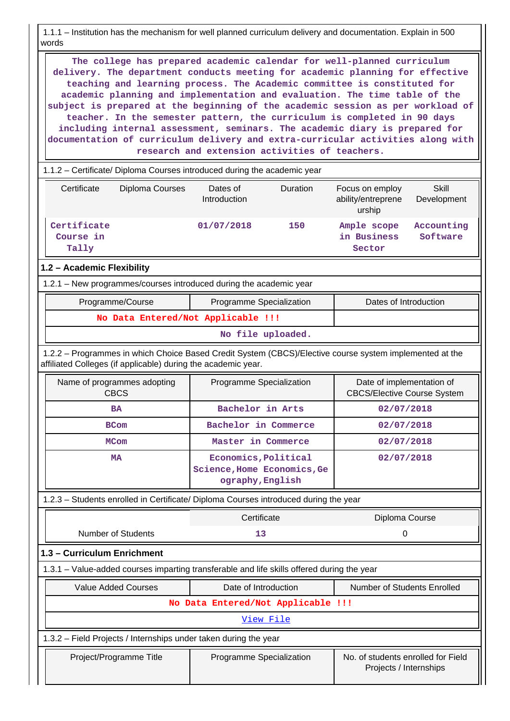1.1.1 – Institution has the mechanism for well planned curriculum delivery and documentation. Explain in 500 words

 **The college has prepared academic calendar for well-planned curriculum delivery. The department conducts meeting for academic planning for effective teaching and learning process. The Academic committee is constituted for academic planning and implementation and evaluation. The time table of the subject is prepared at the beginning of the academic session as per workload of teacher. In the semester pattern, the curriculum is completed in 90 days including internal assessment, seminars. The academic diary is prepared for documentation of curriculum delivery and extra-curricular activities along with research and extension activities of teachers.**

1.1.2 – Certificate/ Diploma Courses introduced during the academic year

| Certificate                       | Diploma Courses | Dates of<br>Introduction | Duration | Focus on employ<br>ability/entreprene<br>urship | Skill<br>Development   |
|-----------------------------------|-----------------|--------------------------|----------|-------------------------------------------------|------------------------|
| Certificate<br>Course in<br>Tally |                 | 01/07/2018               | 150      | Ample scope<br>in Business<br>Sector            | Accounting<br>Software |

#### **1.2 – Academic Flexibility**

1.2.1 – New programmes/courses introduced during the academic year

| Programme/Course                   | <b>Programme Specialization</b> | Dates of Introduction |
|------------------------------------|---------------------------------|-----------------------|
| No Data Entered/Not Applicable !!! |                                 |                       |

#### **No file uploaded.**

 1.2.2 – Programmes in which Choice Based Credit System (CBCS)/Elective course system implemented at the affiliated Colleges (if applicable) during the academic year.

| Name of programmes adopting<br><b>CBCS</b> | Programme Specialization                                                | Date of implementation of<br><b>CBCS/Elective Course System</b> |
|--------------------------------------------|-------------------------------------------------------------------------|-----------------------------------------------------------------|
| <b>BA</b>                                  | Bachelor in Arts                                                        | 02/07/2018                                                      |
| <b>BCom</b>                                | Bachelor in Commerce                                                    | 02/07/2018                                                      |
| <b>MCom</b>                                | Master in Commerce                                                      | 02/07/2018                                                      |
| MA                                         | Economics, Political<br>Science, Home Economics, Ge<br>ography, English | 02/07/2018                                                      |

## 1.2.3 – Students enrolled in Certificate/ Diploma Courses introduced during the year

|                                                                  |                                                                                            | Certificate              | Diploma Course                                               |  |  |  |
|------------------------------------------------------------------|--------------------------------------------------------------------------------------------|--------------------------|--------------------------------------------------------------|--|--|--|
|                                                                  | Number of Students                                                                         | 13                       | 0                                                            |  |  |  |
|                                                                  | 1.3 - Curriculum Enrichment                                                                |                          |                                                              |  |  |  |
|                                                                  | 1.3.1 – Value-added courses imparting transferable and life skills offered during the year |                          |                                                              |  |  |  |
|                                                                  | <b>Value Added Courses</b>                                                                 | Date of Introduction     | Number of Students Enrolled                                  |  |  |  |
|                                                                  | No Data Entered/Not Applicable !!!                                                         |                          |                                                              |  |  |  |
|                                                                  | View File                                                                                  |                          |                                                              |  |  |  |
| 1.3.2 – Field Projects / Internships under taken during the year |                                                                                            |                          |                                                              |  |  |  |
|                                                                  | Project/Programme Title                                                                    | Programme Specialization | No. of students enrolled for Field<br>Projects / Internships |  |  |  |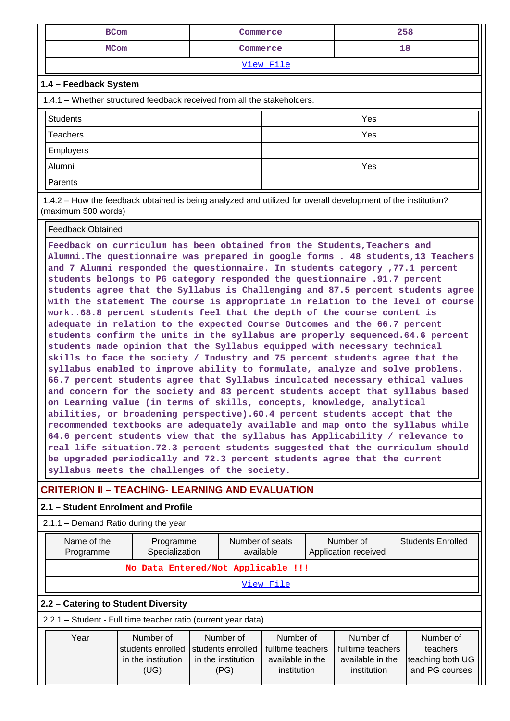| <b>BCom</b>                                                             | Commerce  | 258 |  |  |  |  |  |  |  |
|-------------------------------------------------------------------------|-----------|-----|--|--|--|--|--|--|--|
| <b>MCom</b>                                                             | Commerce  | 18  |  |  |  |  |  |  |  |
|                                                                         | View File |     |  |  |  |  |  |  |  |
| 1.4 - Feedback System                                                   |           |     |  |  |  |  |  |  |  |
| 1.4.1 – Whether structured feedback received from all the stakeholders. |           |     |  |  |  |  |  |  |  |
| <b>Students</b>                                                         |           | Yes |  |  |  |  |  |  |  |
| <b>Teachers</b>                                                         |           | Yes |  |  |  |  |  |  |  |
| Employers                                                               |           |     |  |  |  |  |  |  |  |
| Alumni                                                                  |           | Yes |  |  |  |  |  |  |  |
| Parents                                                                 |           |     |  |  |  |  |  |  |  |

 1.4.2 – How the feedback obtained is being analyzed and utilized for overall development of the institution? (maximum 500 words)

Feedback Obtained

**Feedback on curriculum has been obtained from the Students,Teachers and Alumni.The questionnaire was prepared in google forms . 48 students,13 Teachers and 7 Alumni responded the questionnaire. In students category ,77.1 percent students belongs to PG category responded the questionnaire .91.7 percent students agree that the Syllabus is Challenging and 87.5 percent students agree with the statement The course is appropriate in relation to the level of course work..68.8 percent students feel that the depth of the course content is adequate in relation to the expected Course Outcomes and the 66.7 percent students confirm the units in the syllabus are properly sequenced.64.6 percent students made opinion that the Syllabus equipped with necessary technical skills to face the society / Industry and 75 percent students agree that the syllabus enabled to improve ability to formulate, analyze and solve problems. 66.7 percent students agree that Syllabus inculcated necessary ethical values and concern for the society and 83 percent students accept that syllabus based on Learning value (in terms of skills, concepts, knowledge, analytical abilities, or broadening perspective).60.4 percent students accept that the recommended textbooks are adequately available and map onto the syllabus while 64.6 percent students view that the syllabus has Applicability / relevance to real life situation.72.3 percent students suggested that the curriculum should be upgraded periodically and 72.3 percent students agree that the current syllabus meets the challenges of the society.**

# **CRITERION II – TEACHING- LEARNING AND EVALUATION**

#### **2.1 – Student Enrolment and Profile** 2.1.1 – Demand Ratio during the year Name of the Programme Programme Specialization Number of seats available Number of Application received Students Enrolled **No Data Entered/Not Applicable !!!** [View File](https://assessmentonline.naac.gov.in/public/Postacc/Demand_ratio/5223_Demand_ratio_1584428163.xlsx) **2.2 – Catering to Student Diversity** 2.2.1 – Student - Full time teacher ratio (current year data) Year | Number of students enrolled in the institution (UG) Number of students enrolled in the institution (PG) Number of fulltime teachers available in the institution Number of fulltime teachers available in the institution Number of teachers teaching both UG and PG courses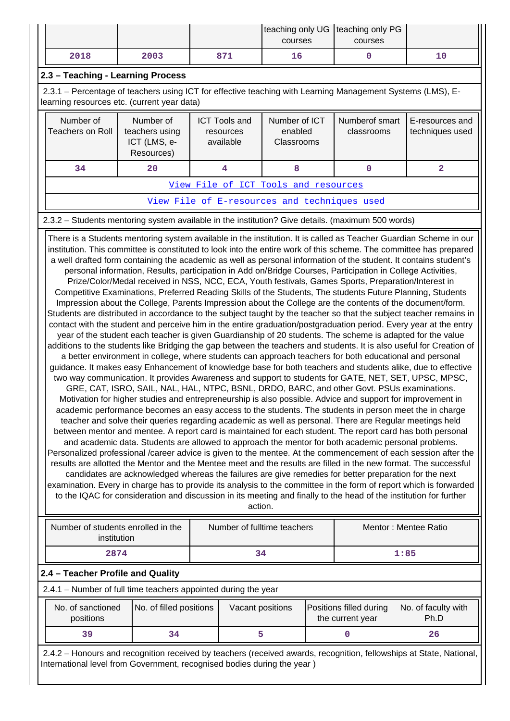|                                                                                                                                                                                                                                                                                                                                                                                                                                                                                                                                                                                                                                                                                                                                                                                                                                                                                                                                                                                                                                                                                                                                                                                                                                                                                                                                                                                                                                                                                                                                                                                                                                                                                                                                                                                                                                                                                                                                                                                                                                                                                                                                                                                                                                                                                                                                                                                                                                                                                                                                                                                                                                                                                                                          |                                                           |  |                                                | courses                                |                                             | teaching only UG   teaching only PG<br>courses |                                                                                                                     |  |  |  |
|--------------------------------------------------------------------------------------------------------------------------------------------------------------------------------------------------------------------------------------------------------------------------------------------------------------------------------------------------------------------------------------------------------------------------------------------------------------------------------------------------------------------------------------------------------------------------------------------------------------------------------------------------------------------------------------------------------------------------------------------------------------------------------------------------------------------------------------------------------------------------------------------------------------------------------------------------------------------------------------------------------------------------------------------------------------------------------------------------------------------------------------------------------------------------------------------------------------------------------------------------------------------------------------------------------------------------------------------------------------------------------------------------------------------------------------------------------------------------------------------------------------------------------------------------------------------------------------------------------------------------------------------------------------------------------------------------------------------------------------------------------------------------------------------------------------------------------------------------------------------------------------------------------------------------------------------------------------------------------------------------------------------------------------------------------------------------------------------------------------------------------------------------------------------------------------------------------------------------------------------------------------------------------------------------------------------------------------------------------------------------------------------------------------------------------------------------------------------------------------------------------------------------------------------------------------------------------------------------------------------------------------------------------------------------------------------------------------------------|-----------------------------------------------------------|--|------------------------------------------------|----------------------------------------|---------------------------------------------|------------------------------------------------|---------------------------------------------------------------------------------------------------------------------|--|--|--|
| 2018                                                                                                                                                                                                                                                                                                                                                                                                                                                                                                                                                                                                                                                                                                                                                                                                                                                                                                                                                                                                                                                                                                                                                                                                                                                                                                                                                                                                                                                                                                                                                                                                                                                                                                                                                                                                                                                                                                                                                                                                                                                                                                                                                                                                                                                                                                                                                                                                                                                                                                                                                                                                                                                                                                                     | 2003                                                      |  | 871                                            | 16                                     |                                             | $\mathbf 0$                                    | 10                                                                                                                  |  |  |  |
| 2.3 - Teaching - Learning Process                                                                                                                                                                                                                                                                                                                                                                                                                                                                                                                                                                                                                                                                                                                                                                                                                                                                                                                                                                                                                                                                                                                                                                                                                                                                                                                                                                                                                                                                                                                                                                                                                                                                                                                                                                                                                                                                                                                                                                                                                                                                                                                                                                                                                                                                                                                                                                                                                                                                                                                                                                                                                                                                                        |                                                           |  |                                                |                                        |                                             |                                                |                                                                                                                     |  |  |  |
| 2.3.1 - Percentage of teachers using ICT for effective teaching with Learning Management Systems (LMS), E-<br>learning resources etc. (current year data)                                                                                                                                                                                                                                                                                                                                                                                                                                                                                                                                                                                                                                                                                                                                                                                                                                                                                                                                                                                                                                                                                                                                                                                                                                                                                                                                                                                                                                                                                                                                                                                                                                                                                                                                                                                                                                                                                                                                                                                                                                                                                                                                                                                                                                                                                                                                                                                                                                                                                                                                                                |                                                           |  |                                                |                                        |                                             |                                                |                                                                                                                     |  |  |  |
| Number of<br><b>Teachers on Roll</b>                                                                                                                                                                                                                                                                                                                                                                                                                                                                                                                                                                                                                                                                                                                                                                                                                                                                                                                                                                                                                                                                                                                                                                                                                                                                                                                                                                                                                                                                                                                                                                                                                                                                                                                                                                                                                                                                                                                                                                                                                                                                                                                                                                                                                                                                                                                                                                                                                                                                                                                                                                                                                                                                                     | Number of<br>teachers using<br>ICT (LMS, e-<br>Resources) |  | <b>ICT Tools and</b><br>resources<br>available | Number of ICT<br>enabled<br>Classrooms |                                             | Numberof smart<br>classrooms                   | E-resources and<br>techniques used                                                                                  |  |  |  |
| 34                                                                                                                                                                                                                                                                                                                                                                                                                                                                                                                                                                                                                                                                                                                                                                                                                                                                                                                                                                                                                                                                                                                                                                                                                                                                                                                                                                                                                                                                                                                                                                                                                                                                                                                                                                                                                                                                                                                                                                                                                                                                                                                                                                                                                                                                                                                                                                                                                                                                                                                                                                                                                                                                                                                       | 20                                                        |  | 4                                              | 8                                      |                                             | $\mathbf 0$                                    | 2                                                                                                                   |  |  |  |
|                                                                                                                                                                                                                                                                                                                                                                                                                                                                                                                                                                                                                                                                                                                                                                                                                                                                                                                                                                                                                                                                                                                                                                                                                                                                                                                                                                                                                                                                                                                                                                                                                                                                                                                                                                                                                                                                                                                                                                                                                                                                                                                                                                                                                                                                                                                                                                                                                                                                                                                                                                                                                                                                                                                          |                                                           |  |                                                | View File of ICT Tools and resources   |                                             |                                                |                                                                                                                     |  |  |  |
|                                                                                                                                                                                                                                                                                                                                                                                                                                                                                                                                                                                                                                                                                                                                                                                                                                                                                                                                                                                                                                                                                                                                                                                                                                                                                                                                                                                                                                                                                                                                                                                                                                                                                                                                                                                                                                                                                                                                                                                                                                                                                                                                                                                                                                                                                                                                                                                                                                                                                                                                                                                                                                                                                                                          |                                                           |  |                                                |                                        |                                             | View File of E-resources and techniques used   |                                                                                                                     |  |  |  |
| 2.3.2 - Students mentoring system available in the institution? Give details. (maximum 500 words)                                                                                                                                                                                                                                                                                                                                                                                                                                                                                                                                                                                                                                                                                                                                                                                                                                                                                                                                                                                                                                                                                                                                                                                                                                                                                                                                                                                                                                                                                                                                                                                                                                                                                                                                                                                                                                                                                                                                                                                                                                                                                                                                                                                                                                                                                                                                                                                                                                                                                                                                                                                                                        |                                                           |  |                                                |                                        |                                             |                                                |                                                                                                                     |  |  |  |
| a well drafted form containing the academic as well as personal information of the student. It contains student's<br>personal information, Results, participation in Add on/Bridge Courses, Participation in College Activities,<br>Prize/Color/Medal received in NSS, NCC, ECA, Youth festivals, Games Sports, Preparation/Interest in<br>Competitive Examinations, Preferred Reading Skills of the Students, The students Future Planning, Students<br>Impression about the College, Parents Impression about the College are the contents of the document/form.<br>Students are distributed in accordance to the subject taught by the teacher so that the subject teacher remains in<br>contact with the student and perceive him in the entire graduation/postgraduation period. Every year at the entry<br>year of the student each teacher is given Guardianship of 20 students. The scheme is adapted for the value<br>additions to the students like Bridging the gap between the teachers and students. It is also useful for Creation of<br>a better environment in college, where students can approach teachers for both educational and personal<br>guidance. It makes easy Enhancement of knowledge base for both teachers and students alike, due to effective<br>two way communication. It provides Awareness and support to students for GATE, NET, SET, UPSC, MPSC,<br>GRE, CAT, ISRO, SAIL, NAL, HAL, NTPC, BSNL, DRDO, BARC, and other Govt. PSUs examinations.<br>Motivation for higher studies and entrepreneurship is also possible. Advice and support for improvement in<br>academic performance becomes an easy access to the students. The students in person meet the in charge<br>teacher and solve their queries regarding academic as well as personal. There are Regular meetings held<br>between mentor and mentee. A report card is maintained for each student. The report card has both personal<br>and academic data. Students are allowed to approach the mentor for both academic personal problems.<br>Personalized professional /career advice is given to the mentee. At the commencement of each session after the<br>results are allotted the Mentor and the Mentee meet and the results are filled in the new format. The successful<br>candidates are acknowledged whereas the failures are give remedies for better preparation for the next<br>examination. Every in charge has to provide its analysis to the committee in the form of report which is forwarded<br>to the IQAC for consideration and discussion in its meeting and finally to the head of the institution for further<br>action.<br>Number of students enrolled in the<br>Number of fulltime teachers |                                                           |  |                                                |                                        |                                             |                                                |                                                                                                                     |  |  |  |
| institution                                                                                                                                                                                                                                                                                                                                                                                                                                                                                                                                                                                                                                                                                                                                                                                                                                                                                                                                                                                                                                                                                                                                                                                                                                                                                                                                                                                                                                                                                                                                                                                                                                                                                                                                                                                                                                                                                                                                                                                                                                                                                                                                                                                                                                                                                                                                                                                                                                                                                                                                                                                                                                                                                                              |                                                           |  |                                                |                                        |                                             |                                                | Mentor: Mentee Ratio                                                                                                |  |  |  |
| 2874                                                                                                                                                                                                                                                                                                                                                                                                                                                                                                                                                                                                                                                                                                                                                                                                                                                                                                                                                                                                                                                                                                                                                                                                                                                                                                                                                                                                                                                                                                                                                                                                                                                                                                                                                                                                                                                                                                                                                                                                                                                                                                                                                                                                                                                                                                                                                                                                                                                                                                                                                                                                                                                                                                                     |                                                           |  | 34                                             |                                        |                                             |                                                | 1:85                                                                                                                |  |  |  |
| 2.4 - Teacher Profile and Quality                                                                                                                                                                                                                                                                                                                                                                                                                                                                                                                                                                                                                                                                                                                                                                                                                                                                                                                                                                                                                                                                                                                                                                                                                                                                                                                                                                                                                                                                                                                                                                                                                                                                                                                                                                                                                                                                                                                                                                                                                                                                                                                                                                                                                                                                                                                                                                                                                                                                                                                                                                                                                                                                                        |                                                           |  |                                                |                                        |                                             |                                                |                                                                                                                     |  |  |  |
| 2.4.1 - Number of full time teachers appointed during the year                                                                                                                                                                                                                                                                                                                                                                                                                                                                                                                                                                                                                                                                                                                                                                                                                                                                                                                                                                                                                                                                                                                                                                                                                                                                                                                                                                                                                                                                                                                                                                                                                                                                                                                                                                                                                                                                                                                                                                                                                                                                                                                                                                                                                                                                                                                                                                                                                                                                                                                                                                                                                                                           |                                                           |  |                                                |                                        |                                             |                                                |                                                                                                                     |  |  |  |
| No. of sanctioned<br>positions                                                                                                                                                                                                                                                                                                                                                                                                                                                                                                                                                                                                                                                                                                                                                                                                                                                                                                                                                                                                                                                                                                                                                                                                                                                                                                                                                                                                                                                                                                                                                                                                                                                                                                                                                                                                                                                                                                                                                                                                                                                                                                                                                                                                                                                                                                                                                                                                                                                                                                                                                                                                                                                                                           | No. of filled positions                                   |  | Vacant positions                               |                                        | Positions filled during<br>the current year |                                                | No. of faculty with<br>Ph.D                                                                                         |  |  |  |
| 39                                                                                                                                                                                                                                                                                                                                                                                                                                                                                                                                                                                                                                                                                                                                                                                                                                                                                                                                                                                                                                                                                                                                                                                                                                                                                                                                                                                                                                                                                                                                                                                                                                                                                                                                                                                                                                                                                                                                                                                                                                                                                                                                                                                                                                                                                                                                                                                                                                                                                                                                                                                                                                                                                                                       | 34                                                        |  | 5                                              |                                        |                                             | $\mathbf 0$                                    | 26                                                                                                                  |  |  |  |
| International level from Government, recognised bodies during the year)                                                                                                                                                                                                                                                                                                                                                                                                                                                                                                                                                                                                                                                                                                                                                                                                                                                                                                                                                                                                                                                                                                                                                                                                                                                                                                                                                                                                                                                                                                                                                                                                                                                                                                                                                                                                                                                                                                                                                                                                                                                                                                                                                                                                                                                                                                                                                                                                                                                                                                                                                                                                                                                  |                                                           |  |                                                |                                        |                                             |                                                | 2.4.2 - Honours and recognition received by teachers (received awards, recognition, fellowships at State, National, |  |  |  |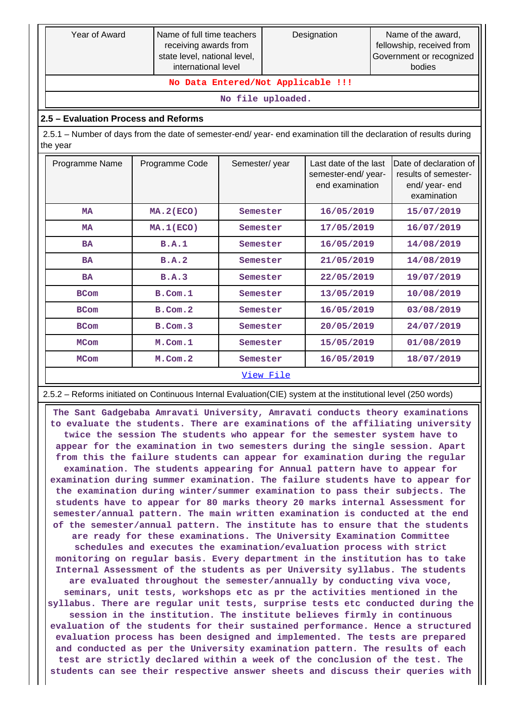| Year of Award                                                                                                                  | Name of full time teachers<br>receiving awards from<br>state level, national level,<br>international level |               |                        | Designation                                                    |  | Name of the award,<br>fellowship, received from<br>Government or recognized<br>bodies |  |  |  |  |  |
|--------------------------------------------------------------------------------------------------------------------------------|------------------------------------------------------------------------------------------------------------|---------------|------------------------|----------------------------------------------------------------|--|---------------------------------------------------------------------------------------|--|--|--|--|--|
|                                                                                                                                | No Data Entered/Not Applicable !!!                                                                         |               |                        |                                                                |  |                                                                                       |  |  |  |  |  |
| No file uploaded.                                                                                                              |                                                                                                            |               |                        |                                                                |  |                                                                                       |  |  |  |  |  |
| 2.5 - Evaluation Process and Reforms                                                                                           |                                                                                                            |               |                        |                                                                |  |                                                                                       |  |  |  |  |  |
| 2.5.1 - Number of days from the date of semester-end/ year- end examination till the declaration of results during<br>the year |                                                                                                            |               |                        |                                                                |  |                                                                                       |  |  |  |  |  |
| Programme Name                                                                                                                 | Programme Code                                                                                             | Semester/year |                        | Last date of the last<br>semester-end/year-<br>end examination |  | Date of declaration of<br>results of semester-<br>end/year-end<br>examination         |  |  |  |  |  |
| <b>MA</b>                                                                                                                      | <b>MA. 2 (ECO)</b>                                                                                         | Semester      |                        | 16/05/2019                                                     |  | 15/07/2019                                                                            |  |  |  |  |  |
| MA                                                                                                                             | MA.1(ECO)                                                                                                  | Semester      |                        | 17/05/2019                                                     |  | 16/07/2019                                                                            |  |  |  |  |  |
| <b>BA</b>                                                                                                                      | B.A.1                                                                                                      | Semester      |                        | 16/05/2019                                                     |  | 14/08/2019                                                                            |  |  |  |  |  |
| <b>BA</b>                                                                                                                      | B.A.2                                                                                                      | Semester      |                        | 21/05/2019                                                     |  | 14/08/2019                                                                            |  |  |  |  |  |
| <b>BA</b>                                                                                                                      | B.A.3                                                                                                      | Semester      |                        | 22/05/2019                                                     |  | 19/07/2019                                                                            |  |  |  |  |  |
| <b>BCom</b>                                                                                                                    | $B.$ Com. $1$                                                                                              | Semester      |                        | 13/05/2019                                                     |  | 10/08/2019                                                                            |  |  |  |  |  |
| <b>BCom</b>                                                                                                                    | $B.$ Com. $2$                                                                                              | Semester      |                        | 16/05/2019                                                     |  | 03/08/2019                                                                            |  |  |  |  |  |
| <b>BCom</b>                                                                                                                    | $B.$ Com. $3$                                                                                              | Semester      |                        | 20/05/2019                                                     |  | 24/07/2019                                                                            |  |  |  |  |  |
| <b>MCom</b>                                                                                                                    | M.Com.1                                                                                                    |               | Semester<br>15/05/2019 |                                                                |  | 01/08/2019                                                                            |  |  |  |  |  |
| <b>MCom</b>                                                                                                                    | M.Com.2                                                                                                    | Semester      |                        | 16/05/2019                                                     |  | 18/07/2019                                                                            |  |  |  |  |  |
|                                                                                                                                | View File                                                                                                  |               |                        |                                                                |  |                                                                                       |  |  |  |  |  |

- Reforms initiated on Continuous Internal Evaluation(CIE) system at the institutional level (250 words)

 **The Sant Gadgebaba Amravati University, Amravati conducts theory examinations to evaluate the students. There are examinations of the affiliating university twice the session The students who appear for the semester system have to appear for the examination in two semesters during the single session. Apart from this the failure students can appear for examination during the regular examination. The students appearing for Annual pattern have to appear for examination during summer examination. The failure students have to appear for the examination during winter/summer examination to pass their subjects. The students have to appear for 80 marks theory 20 marks internal Assessment for semester/annual pattern. The main written examination is conducted at the end of the semester/annual pattern. The institute has to ensure that the students are ready for these examinations. The University Examination Committee schedules and executes the examination/evaluation process with strict monitoring on regular basis. Every department in the institution has to take Internal Assessment of the students as per University syllabus. The students are evaluated throughout the semester/annually by conducting viva voce, seminars, unit tests, workshops etc as pr the activities mentioned in the syllabus. There are regular unit tests, surprise tests etc conducted during the session in the institution. The institute believes firmly in continuous evaluation of the students for their sustained performance. Hence a structured evaluation process has been designed and implemented. The tests are prepared and conducted as per the University examination pattern. The results of each test are strictly declared within a week of the conclusion of the test. The students can see their respective answer sheets and discuss their queries with**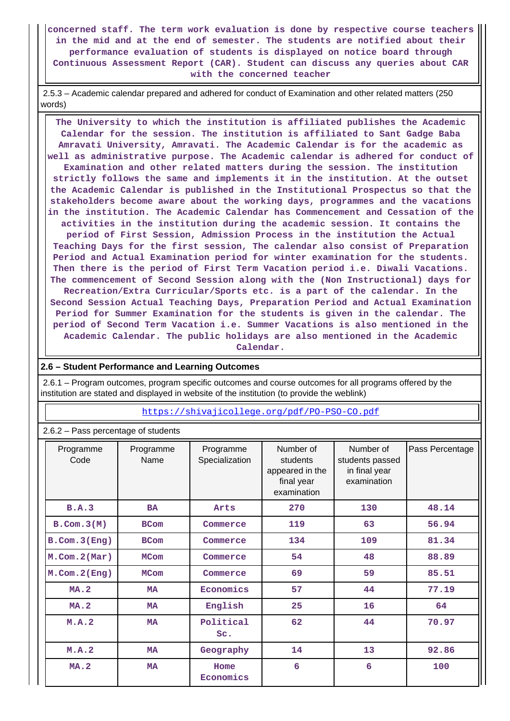**concerned staff. The term work evaluation is done by respective course teachers in the mid and at the end of semester. The students are notified about their performance evaluation of students is displayed on notice board through Continuous Assessment Report (CAR). Student can discuss any queries about CAR with the concerned teacher**

 2.5.3 – Academic calendar prepared and adhered for conduct of Examination and other related matters (250 words)

 **The University to which the institution is affiliated publishes the Academic Calendar for the session. The institution is affiliated to Sant Gadge Baba Amravati University, Amravati. The Academic Calendar is for the academic as well as administrative purpose. The Academic calendar is adhered for conduct of Examination and other related matters during the session. The institution strictly follows the same and implements it in the institution. At the outset the Academic Calendar is published in the Institutional Prospectus so that the stakeholders become aware about the working days, programmes and the vacations in the institution. The Academic Calendar has Commencement and Cessation of the activities in the institution during the academic session. It contains the period of First Session, Admission Process in the institution the Actual Teaching Days for the first session, The calendar also consist of Preparation Period and Actual Examination period for winter examination for the students. Then there is the period of First Term Vacation period i.e. Diwali Vacations. The commencement of Second Session along with the (Non Instructional) days for Recreation/Extra Curricular/Sports etc. is a part of the calendar. In the Second Session Actual Teaching Days, Preparation Period and Actual Examination Period for Summer Examination for the students is given in the calendar. The period of Second Term Vacation i.e. Summer Vacations is also mentioned in the Academic Calendar. The public holidays are also mentioned in the Academic Calendar.**

#### **2.6 – Student Performance and Learning Outcomes**

 2.6.1 – Program outcomes, program specific outcomes and course outcomes for all programs offered by the institution are stated and displayed in website of the institution (to provide the weblink)

#### <https://shivajicollege.org/pdf/PO-PSO-CO.pdf>

2.6.2 – Pass percentage of students

| Programme<br>Code   | Programme<br>Name | Programme<br>Specialization | Number of<br>students<br>appeared in the<br>final year<br>examination | Number of<br>students passed<br>in final year<br>examination | Pass Percentage |
|---------------------|-------------------|-----------------------------|-----------------------------------------------------------------------|--------------------------------------------------------------|-----------------|
| B.A.3               | <b>BA</b>         | Arts                        | 270                                                                   | 130                                                          | 48.14           |
| $B.$ Com. $3(M)$    | <b>BCom</b>       | Commerce                    | 119                                                                   | 63                                                           | 56.94           |
| $B.$ Com. $3$ (Eng) | <b>BCom</b>       |                             | 134                                                                   | 109                                                          | 81.34           |
| $M.$ Com. $2(Mar)$  | <b>MCom</b>       |                             | 54                                                                    | 48                                                           | 88.89           |
| $M.$ Com. $2$ (Eng) | <b>MCom</b>       | Commerce                    | 69                                                                    | 59                                                           | 85.51           |
| <b>MA.2</b>         | <b>MA</b>         | Economics                   | 57                                                                    | 44                                                           | 77.19           |
| <b>MA.2</b>         | <b>MA</b>         | English                     | 25                                                                    | 16                                                           | 64              |
| M.A.2               | <b>MA</b>         | Political<br>Sc.            | 62                                                                    | 44                                                           | 70.97           |
| M.A.2               | <b>MA</b>         | Geography                   | 14                                                                    | 13                                                           | 92.86           |
| <b>MA.2</b>         | <b>MA</b>         | Home<br>Economics           | 6                                                                     | 6                                                            | 100             |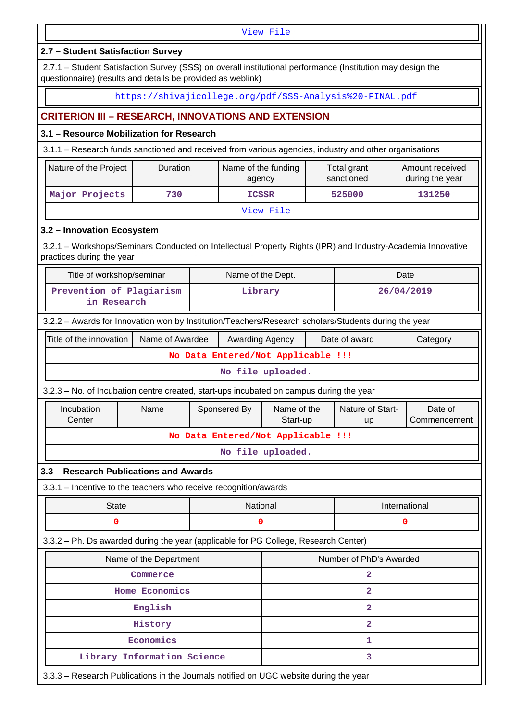|                                                                                                                                                                           |                             |                                    | View File                     |  |                           |                                    |  |  |  |
|---------------------------------------------------------------------------------------------------------------------------------------------------------------------------|-----------------------------|------------------------------------|-------------------------------|--|---------------------------|------------------------------------|--|--|--|
| 2.7 - Student Satisfaction Survey                                                                                                                                         |                             |                                    |                               |  |                           |                                    |  |  |  |
| 2.7.1 - Student Satisfaction Survey (SSS) on overall institutional performance (Institution may design the<br>questionnaire) (results and details be provided as weblink) |                             |                                    |                               |  |                           |                                    |  |  |  |
| https://shivajicollege.org/pdf/SSS-Analysis%20-FINAL.pdf                                                                                                                  |                             |                                    |                               |  |                           |                                    |  |  |  |
| <b>CRITERION III - RESEARCH, INNOVATIONS AND EXTENSION</b>                                                                                                                |                             |                                    |                               |  |                           |                                    |  |  |  |
| 3.1 - Resource Mobilization for Research                                                                                                                                  |                             |                                    |                               |  |                           |                                    |  |  |  |
| 3.1.1 - Research funds sanctioned and received from various agencies, industry and other organisations                                                                    |                             |                                    |                               |  |                           |                                    |  |  |  |
| Nature of the Project                                                                                                                                                     | Duration                    |                                    | Name of the funding<br>agency |  | Total grant<br>sanctioned | Amount received<br>during the year |  |  |  |
| Major Projects                                                                                                                                                            | 730                         |                                    | <b>ICSSR</b>                  |  | 525000                    | 131250                             |  |  |  |
|                                                                                                                                                                           |                             |                                    | View File                     |  |                           |                                    |  |  |  |
| 3.2 - Innovation Ecosystem                                                                                                                                                |                             |                                    |                               |  |                           |                                    |  |  |  |
| 3.2.1 - Workshops/Seminars Conducted on Intellectual Property Rights (IPR) and Industry-Academia Innovative<br>practices during the year                                  |                             |                                    |                               |  |                           |                                    |  |  |  |
| Title of workshop/seminar                                                                                                                                                 |                             |                                    | Name of the Dept.             |  |                           | Date                               |  |  |  |
| Prevention of Plagiarism<br>in Research                                                                                                                                   |                             |                                    | Library                       |  |                           | 26/04/2019                         |  |  |  |
| 3.2.2 - Awards for Innovation won by Institution/Teachers/Research scholars/Students during the year                                                                      |                             |                                    |                               |  |                           |                                    |  |  |  |
| Title of the innovation                                                                                                                                                   | Name of Awardee             |                                    | Awarding Agency               |  | Date of award             | Category                           |  |  |  |
|                                                                                                                                                                           |                             | No Data Entered/Not Applicable !!! |                               |  |                           |                                    |  |  |  |
|                                                                                                                                                                           |                             |                                    | No file uploaded.             |  |                           |                                    |  |  |  |
| 3.2.3 – No. of Incubation centre created, start-ups incubated on campus during the year                                                                                   |                             |                                    |                               |  |                           |                                    |  |  |  |
| Incubation<br>Center                                                                                                                                                      | Name                        | Sponsered By                       | Name of the<br>Start-up       |  | Nature of Start-<br>up    | Date of<br>Commencement            |  |  |  |
|                                                                                                                                                                           |                             | No Data Entered/Not Applicable !!! |                               |  |                           |                                    |  |  |  |
|                                                                                                                                                                           |                             |                                    | No file uploaded.             |  |                           |                                    |  |  |  |
| 3.3 - Research Publications and Awards                                                                                                                                    |                             |                                    |                               |  |                           |                                    |  |  |  |
| 3.3.1 - Incentive to the teachers who receive recognition/awards                                                                                                          |                             |                                    |                               |  |                           |                                    |  |  |  |
| <b>State</b>                                                                                                                                                              |                             |                                    | National                      |  |                           | International                      |  |  |  |
| 0                                                                                                                                                                         |                             |                                    | 0                             |  |                           | 0                                  |  |  |  |
| 3.3.2 - Ph. Ds awarded during the year (applicable for PG College, Research Center)                                                                                       |                             |                                    |                               |  |                           |                                    |  |  |  |
|                                                                                                                                                                           | Name of the Department      |                                    |                               |  | Number of PhD's Awarded   |                                    |  |  |  |
|                                                                                                                                                                           | Commerce                    |                                    |                               |  | 2                         |                                    |  |  |  |
|                                                                                                                                                                           | <b>Home Economics</b>       |                                    |                               |  | 2                         |                                    |  |  |  |
|                                                                                                                                                                           | English                     |                                    |                               |  | 2                         |                                    |  |  |  |
|                                                                                                                                                                           | History                     |                                    | $\overline{a}$                |  |                           |                                    |  |  |  |
|                                                                                                                                                                           | Economics                   |                                    | 1                             |  |                           |                                    |  |  |  |
|                                                                                                                                                                           | Library Information Science |                                    |                               |  | 3                         |                                    |  |  |  |
| 3.3.3 - Research Publications in the Journals notified on UGC website during the year                                                                                     |                             |                                    |                               |  |                           |                                    |  |  |  |

 $\mathbf l$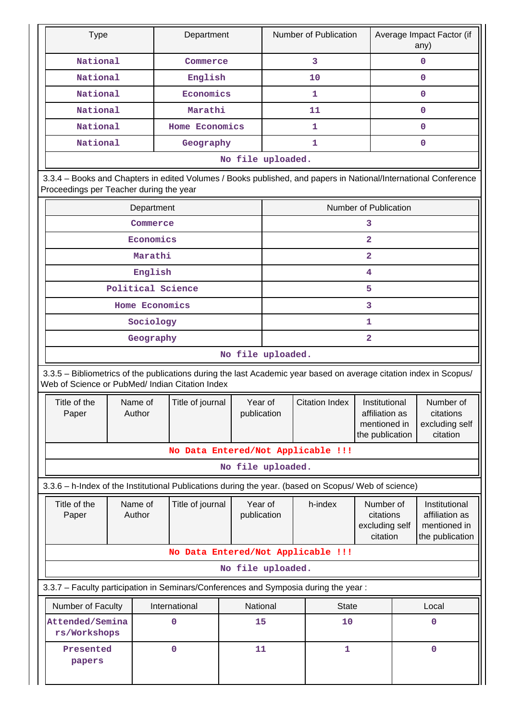| <b>Type</b>                                                                                                                                                           |  |                   | Department       |                   |  | Number of Publication              |                                |              | Average Impact Factor (if<br>any) |  |
|-----------------------------------------------------------------------------------------------------------------------------------------------------------------------|--|-------------------|------------------|-------------------|--|------------------------------------|--------------------------------|--------------|-----------------------------------|--|
| National                                                                                                                                                              |  |                   | Commerce         |                   |  | 3                                  |                                |              | 0                                 |  |
| National                                                                                                                                                              |  |                   | English          |                   |  | 10                                 |                                | $\mathbf{0}$ |                                   |  |
| National                                                                                                                                                              |  |                   | Economics        |                   |  | 1                                  |                                | $\mathbf 0$  |                                   |  |
| National                                                                                                                                                              |  |                   | Marathi          |                   |  | 11                                 |                                |              | $\mathbf 0$                       |  |
| National                                                                                                                                                              |  |                   | Home Economics   |                   |  | 1                                  |                                |              | $\mathbf 0$                       |  |
| National                                                                                                                                                              |  |                   | Geography        |                   |  | 1                                  |                                |              | 0                                 |  |
|                                                                                                                                                                       |  |                   |                  | No file uploaded. |  |                                    |                                |              |                                   |  |
| 3.3.4 - Books and Chapters in edited Volumes / Books published, and papers in National/International Conference<br>Proceedings per Teacher during the year            |  |                   |                  |                   |  |                                    |                                |              |                                   |  |
|                                                                                                                                                                       |  | Department        |                  |                   |  |                                    | Number of Publication          |              |                                   |  |
|                                                                                                                                                                       |  | Commerce          |                  |                   |  |                                    | 3                              |              |                                   |  |
|                                                                                                                                                                       |  | Economics         |                  |                   |  |                                    | $\overline{a}$                 |              |                                   |  |
|                                                                                                                                                                       |  | Marathi           |                  |                   |  |                                    | $\overline{2}$                 |              |                                   |  |
|                                                                                                                                                                       |  | English           |                  |                   |  |                                    | 4                              |              |                                   |  |
|                                                                                                                                                                       |  | Political Science |                  |                   |  |                                    | 5                              |              |                                   |  |
|                                                                                                                                                                       |  | Home Economics    |                  |                   |  |                                    | 3                              |              |                                   |  |
|                                                                                                                                                                       |  | Sociology         |                  |                   |  |                                    | 1                              |              |                                   |  |
|                                                                                                                                                                       |  | Geography         |                  |                   |  |                                    | 2                              |              |                                   |  |
| No file uploaded.                                                                                                                                                     |  |                   |                  |                   |  |                                    |                                |              |                                   |  |
| 3.3.5 - Bibliometrics of the publications during the last Academic year based on average citation index in Scopus/<br>Web of Science or PubMed/ Indian Citation Index |  |                   |                  |                   |  |                                    |                                |              |                                   |  |
| Title of the                                                                                                                                                          |  | Name of           | Title of journal | Year of           |  | <b>Citation Index</b>              | Institutional                  |              | Number of                         |  |
| Paper                                                                                                                                                                 |  | Author            |                  | publication       |  |                                    | affiliation as<br>mentioned in |              | citations<br>excluding self       |  |
|                                                                                                                                                                       |  |                   |                  |                   |  |                                    | the publication                |              | citation                          |  |
|                                                                                                                                                                       |  |                   |                  |                   |  | No Data Entered/Not Applicable !!! |                                |              |                                   |  |
|                                                                                                                                                                       |  |                   |                  | No file uploaded. |  |                                    |                                |              |                                   |  |
| 3.3.6 - h-Index of the Institutional Publications during the year. (based on Scopus/ Web of science)                                                                  |  |                   |                  |                   |  |                                    |                                |              |                                   |  |
| Title of the                                                                                                                                                          |  | Name of           | Title of journal | Year of           |  | h-index                            | Number of                      |              | Institutional                     |  |
| Paper                                                                                                                                                                 |  | Author            |                  | publication       |  |                                    | citations<br>excluding self    |              | affiliation as<br>mentioned in    |  |
|                                                                                                                                                                       |  |                   |                  |                   |  |                                    | citation                       |              | the publication                   |  |
|                                                                                                                                                                       |  |                   |                  |                   |  | No Data Entered/Not Applicable !!! |                                |              |                                   |  |
|                                                                                                                                                                       |  |                   |                  | No file uploaded. |  |                                    |                                |              |                                   |  |
| 3.3.7 - Faculty participation in Seminars/Conferences and Symposia during the year:                                                                                   |  |                   |                  |                   |  |                                    |                                |              |                                   |  |
| Number of Faculty                                                                                                                                                     |  |                   | International    | National          |  | <b>State</b>                       |                                |              | Local                             |  |
| Attended/Semina<br>rs/Workshops                                                                                                                                       |  |                   | $\mathbf 0$      | 15                |  | 10                                 |                                |              | 0                                 |  |
| Presented<br>papers                                                                                                                                                   |  |                   | $\mathbf 0$      | 11                |  | $\mathbf{1}$                       |                                | $\mathbf 0$  |                                   |  |
|                                                                                                                                                                       |  |                   |                  |                   |  |                                    |                                |              |                                   |  |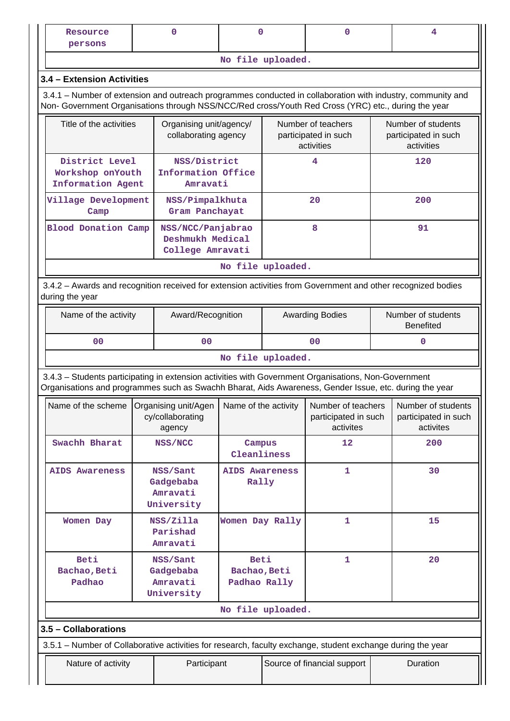| Resource<br>persons            |                                                                            |  | 0                                                         | $\mathbf 0$                                                                                                |  | 0                                                                                                                                                                                                              |  | 4                                                                                                            |  |  |
|--------------------------------|----------------------------------------------------------------------------|--|-----------------------------------------------------------|------------------------------------------------------------------------------------------------------------|--|----------------------------------------------------------------------------------------------------------------------------------------------------------------------------------------------------------------|--|--------------------------------------------------------------------------------------------------------------|--|--|
|                                |                                                                            |  |                                                           | No file uploaded.                                                                                          |  |                                                                                                                                                                                                                |  |                                                                                                              |  |  |
| 3.4 - Extension Activities     |                                                                            |  |                                                           |                                                                                                            |  |                                                                                                                                                                                                                |  |                                                                                                              |  |  |
|                                |                                                                            |  |                                                           |                                                                                                            |  | Non- Government Organisations through NSS/NCC/Red cross/Youth Red Cross (YRC) etc., during the year                                                                                                            |  | 3.4.1 – Number of extension and outreach programmes conducted in collaboration with industry, community and  |  |  |
|                                | Title of the activities<br>Organising unit/agency/<br>collaborating agency |  |                                                           |                                                                                                            |  | Number of teachers<br>participated in such<br>activities                                                                                                                                                       |  | Number of students<br>participated in such<br>activities                                                     |  |  |
|                                | District Level<br>Workshop onYouth<br><b>Information Agent</b>             |  | NSS/District<br>Information Office<br>Amravati            |                                                                                                            |  | 4                                                                                                                                                                                                              |  | 120                                                                                                          |  |  |
|                                | Village Development<br>Camp                                                |  | NSS/Pimpalkhuta<br>Gram Panchayat                         |                                                                                                            |  | 20                                                                                                                                                                                                             |  | 200                                                                                                          |  |  |
|                                | <b>Blood Donation Camp</b>                                                 |  | NSS/NCC/Panjabrao<br>Deshmukh Medical<br>College Amravati |                                                                                                            |  | 8                                                                                                                                                                                                              |  | 91                                                                                                           |  |  |
| No file uploaded.              |                                                                            |  |                                                           |                                                                                                            |  |                                                                                                                                                                                                                |  |                                                                                                              |  |  |
| during the year                |                                                                            |  |                                                           |                                                                                                            |  |                                                                                                                                                                                                                |  | 3.4.2 - Awards and recognition received for extension activities from Government and other recognized bodies |  |  |
|                                | Name of the activity                                                       |  |                                                           | Award/Recognition                                                                                          |  | <b>Awarding Bodies</b>                                                                                                                                                                                         |  | Number of students<br><b>Benefited</b>                                                                       |  |  |
|                                | 0 <sub>0</sub>                                                             |  | 0 <sub>0</sub>                                            |                                                                                                            |  | 00                                                                                                                                                                                                             |  | $\mathbf 0$                                                                                                  |  |  |
|                                |                                                                            |  |                                                           | No file uploaded.                                                                                          |  |                                                                                                                                                                                                                |  |                                                                                                              |  |  |
|                                |                                                                            |  |                                                           |                                                                                                            |  | 3.4.3 - Students participating in extension activities with Government Organisations, Non-Government<br>Organisations and programmes such as Swachh Bharat, Aids Awareness, Gender Issue, etc. during the year |  |                                                                                                              |  |  |
|                                |                                                                            |  | cy/collaborating<br>agency                                | Name of the scheme   Organising unit/Agen   Name of the activity   Number of teachers   Number of students |  | participated in such<br>activites                                                                                                                                                                              |  | participated in such<br>activites                                                                            |  |  |
| Swachh Bharat                  |                                                                            |  | NSS/NCC                                                   | Campus<br>Cleanliness                                                                                      |  | $12 \$                                                                                                                                                                                                         |  | 200                                                                                                          |  |  |
| <b>AIDS Awareness</b>          |                                                                            |  | NSS/Sant<br>Gadgebaba<br>Amravati<br>University           | <b>AIDS Awareness</b><br>Rally                                                                             |  | 1                                                                                                                                                                                                              |  | 30                                                                                                           |  |  |
| Women Day                      |                                                                            |  | NSS/Zilla<br>Parishad<br>Amravati                         | Women Day Rally                                                                                            |  | 1                                                                                                                                                                                                              |  | 15                                                                                                           |  |  |
| Beti<br>Bachao, Beti<br>Padhao |                                                                            |  | NSS/Sant<br>Gadgebaba<br>Amravati<br>University           | <b>Beti</b><br>Bachao, Beti<br>Padhao Rally                                                                |  | 1                                                                                                                                                                                                              |  | 20                                                                                                           |  |  |
|                                |                                                                            |  |                                                           | No file uploaded.                                                                                          |  |                                                                                                                                                                                                                |  |                                                                                                              |  |  |
| 3.5 - Collaborations           |                                                                            |  |                                                           |                                                                                                            |  |                                                                                                                                                                                                                |  |                                                                                                              |  |  |
|                                |                                                                            |  |                                                           |                                                                                                            |  | 3.5.1 - Number of Collaborative activities for research, faculty exchange, student exchange during the year                                                                                                    |  |                                                                                                              |  |  |
|                                | Nature of activity                                                         |  | Participant                                               |                                                                                                            |  | Source of financial support                                                                                                                                                                                    |  | Duration                                                                                                     |  |  |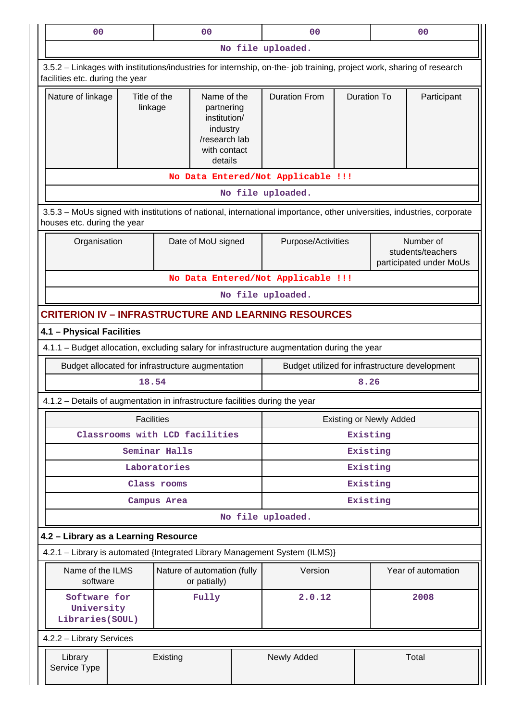| 0 <sub>0</sub>                                                                                                                                        |                           |               | 0 <sub>0</sub>                                                                                    |             | 0 <sub>0</sub>                                                                                                        |                    | 0 <sup>0</sup>                 |                                                           |  |  |
|-------------------------------------------------------------------------------------------------------------------------------------------------------|---------------------------|---------------|---------------------------------------------------------------------------------------------------|-------------|-----------------------------------------------------------------------------------------------------------------------|--------------------|--------------------------------|-----------------------------------------------------------|--|--|
|                                                                                                                                                       |                           |               |                                                                                                   |             | No file uploaded.                                                                                                     |                    |                                |                                                           |  |  |
| facilities etc. during the year                                                                                                                       |                           |               |                                                                                                   |             | 3.5.2 - Linkages with institutions/industries for internship, on-the- job training, project work, sharing of research |                    |                                |                                                           |  |  |
| Nature of linkage                                                                                                                                     | Title of the<br>linkage   |               | Name of the<br>partnering<br>institution/<br>industry<br>/research lab<br>with contact<br>details |             | <b>Duration From</b>                                                                                                  | <b>Duration To</b> |                                | Participant                                               |  |  |
|                                                                                                                                                       |                           |               |                                                                                                   |             | No Data Entered/Not Applicable !!!                                                                                    |                    |                                |                                                           |  |  |
|                                                                                                                                                       |                           |               |                                                                                                   |             | No file uploaded.                                                                                                     |                    |                                |                                                           |  |  |
| 3.5.3 - MoUs signed with institutions of national, international importance, other universities, industries, corporate<br>houses etc. during the year |                           |               |                                                                                                   |             |                                                                                                                       |                    |                                |                                                           |  |  |
| Organisation                                                                                                                                          |                           |               | Date of MoU signed                                                                                |             | Purpose/Activities                                                                                                    |                    |                                | Number of<br>students/teachers<br>participated under MoUs |  |  |
|                                                                                                                                                       |                           |               |                                                                                                   |             | No Data Entered/Not Applicable !!!                                                                                    |                    |                                |                                                           |  |  |
| No file uploaded.                                                                                                                                     |                           |               |                                                                                                   |             |                                                                                                                       |                    |                                |                                                           |  |  |
| <b>CRITERION IV - INFRASTRUCTURE AND LEARNING RESOURCES</b>                                                                                           |                           |               |                                                                                                   |             |                                                                                                                       |                    |                                |                                                           |  |  |
|                                                                                                                                                       | 4.1 - Physical Facilities |               |                                                                                                   |             |                                                                                                                       |                    |                                |                                                           |  |  |
|                                                                                                                                                       |                           |               |                                                                                                   |             | 4.1.1 - Budget allocation, excluding salary for infrastructure augmentation during the year                           |                    |                                |                                                           |  |  |
| Budget allocated for infrastructure augmentation                                                                                                      | 18.54                     |               |                                                                                                   |             | Budget utilized for infrastructure development                                                                        | 8.26               |                                |                                                           |  |  |
| 4.1.2 – Details of augmentation in infrastructure facilities during the year                                                                          |                           |               |                                                                                                   |             |                                                                                                                       |                    |                                |                                                           |  |  |
|                                                                                                                                                       | <b>Facilities</b>         |               |                                                                                                   |             |                                                                                                                       |                    | <b>Existing or Newly Added</b> |                                                           |  |  |
|                                                                                                                                                       |                           |               | Classrooms with LCD facilities                                                                    |             | Existing                                                                                                              |                    |                                |                                                           |  |  |
|                                                                                                                                                       |                           | Seminar Halls |                                                                                                   |             | Existing                                                                                                              |                    |                                |                                                           |  |  |
|                                                                                                                                                       |                           | Laboratories  |                                                                                                   |             |                                                                                                                       | Existing           |                                |                                                           |  |  |
|                                                                                                                                                       |                           | Class rooms   |                                                                                                   |             |                                                                                                                       | Existing           |                                |                                                           |  |  |
|                                                                                                                                                       |                           | Campus Area   |                                                                                                   |             |                                                                                                                       | Existing           |                                |                                                           |  |  |
|                                                                                                                                                       |                           |               |                                                                                                   |             | No file uploaded.                                                                                                     |                    |                                |                                                           |  |  |
| 4.2 - Library as a Learning Resource                                                                                                                  |                           |               |                                                                                                   |             |                                                                                                                       |                    |                                |                                                           |  |  |
|                                                                                                                                                       |                           |               |                                                                                                   |             | 4.2.1 - Library is automated {Integrated Library Management System (ILMS)}                                            |                    |                                |                                                           |  |  |
| Name of the ILMS<br>software                                                                                                                          |                           |               | Nature of automation (fully<br>or patially)                                                       |             | Version                                                                                                               |                    |                                | Year of automation                                        |  |  |
| Software for<br>University<br>Libraries (SOUL)                                                                                                        |                           |               | Fully                                                                                             |             | 2.0.12                                                                                                                |                    |                                | 2008                                                      |  |  |
| 4.2.2 - Library Services                                                                                                                              |                           |               |                                                                                                   |             |                                                                                                                       |                    |                                |                                                           |  |  |
| Library<br>Service Type                                                                                                                               | Existing                  |               |                                                                                                   | Newly Added |                                                                                                                       |                    | Total                          |                                                           |  |  |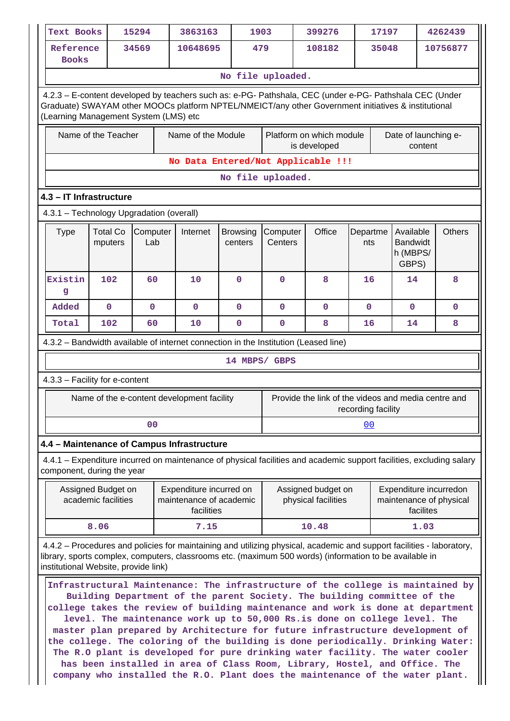| <b>Text Books</b>                                                                                                                                                                                                                                       |                                           | 15294           | 3863163                                                                             |                            | 1903                | 399276                                                                                                                                                                                                                                                                                                                                                                                                                                                                                                                                                                                                                                                                                                                                          | 17197              |                                                                | 4262439       |
|---------------------------------------------------------------------------------------------------------------------------------------------------------------------------------------------------------------------------------------------------------|-------------------------------------------|-----------------|-------------------------------------------------------------------------------------|----------------------------|---------------------|-------------------------------------------------------------------------------------------------------------------------------------------------------------------------------------------------------------------------------------------------------------------------------------------------------------------------------------------------------------------------------------------------------------------------------------------------------------------------------------------------------------------------------------------------------------------------------------------------------------------------------------------------------------------------------------------------------------------------------------------------|--------------------|----------------------------------------------------------------|---------------|
| Reference<br><b>Books</b>                                                                                                                                                                                                                               |                                           | 34569           | 10648695                                                                            | 479                        |                     | 108182                                                                                                                                                                                                                                                                                                                                                                                                                                                                                                                                                                                                                                                                                                                                          | 35048              |                                                                | 10756877      |
|                                                                                                                                                                                                                                                         |                                           |                 |                                                                                     | No file uploaded.          |                     |                                                                                                                                                                                                                                                                                                                                                                                                                                                                                                                                                                                                                                                                                                                                                 |                    |                                                                |               |
| 4.2.3 - E-content developed by teachers such as: e-PG- Pathshala, CEC (under e-PG- Pathshala CEC (Under<br>Graduate) SWAYAM other MOOCs platform NPTEL/NMEICT/any other Government initiatives & institutional<br>(Learning Management System (LMS) etc |                                           |                 |                                                                                     |                            |                     |                                                                                                                                                                                                                                                                                                                                                                                                                                                                                                                                                                                                                                                                                                                                                 |                    |                                                                |               |
|                                                                                                                                                                                                                                                         | Name of the Teacher                       |                 | Name of the Module                                                                  |                            |                     | Platform on which module<br>is developed                                                                                                                                                                                                                                                                                                                                                                                                                                                                                                                                                                                                                                                                                                        |                    | Date of launching e-<br>content                                |               |
|                                                                                                                                                                                                                                                         |                                           |                 |                                                                                     |                            |                     | No Data Entered/Not Applicable !!!                                                                                                                                                                                                                                                                                                                                                                                                                                                                                                                                                                                                                                                                                                              |                    |                                                                |               |
|                                                                                                                                                                                                                                                         |                                           |                 |                                                                                     | No file uploaded.          |                     |                                                                                                                                                                                                                                                                                                                                                                                                                                                                                                                                                                                                                                                                                                                                                 |                    |                                                                |               |
| 4.3 - IT Infrastructure                                                                                                                                                                                                                                 |                                           |                 |                                                                                     |                            |                     |                                                                                                                                                                                                                                                                                                                                                                                                                                                                                                                                                                                                                                                                                                                                                 |                    |                                                                |               |
| 4.3.1 - Technology Upgradation (overall)                                                                                                                                                                                                                |                                           |                 |                                                                                     |                            |                     |                                                                                                                                                                                                                                                                                                                                                                                                                                                                                                                                                                                                                                                                                                                                                 |                    |                                                                |               |
| <b>Type</b>                                                                                                                                                                                                                                             | <b>Total Co</b><br>mputers                | Computer<br>Lab | Internet                                                                            | <b>Browsing</b><br>centers | Computer<br>Centers | Office                                                                                                                                                                                                                                                                                                                                                                                                                                                                                                                                                                                                                                                                                                                                          | Departme<br>nts    | Available<br><b>Bandwidt</b><br>h (MBPS/<br>GBPS)              | <b>Others</b> |
| Existin<br>g                                                                                                                                                                                                                                            | 102                                       | 60              | 10                                                                                  | $\mathbf{O}$               | $\mathbf 0$         | 8                                                                                                                                                                                                                                                                                                                                                                                                                                                                                                                                                                                                                                                                                                                                               | 16                 | 14                                                             | 8             |
| Added                                                                                                                                                                                                                                                   | $\mathbf 0$                               | $\mathbf 0$     | $\mathbf 0$                                                                         | $\mathbf{0}$               | $\mathbf 0$         | $\mathbf 0$                                                                                                                                                                                                                                                                                                                                                                                                                                                                                                                                                                                                                                                                                                                                     | $\mathbf 0$        | $\mathbf{0}$                                                   | $\mathbf{0}$  |
| Total                                                                                                                                                                                                                                                   | 102                                       | 60              | 10                                                                                  | $\mathbf 0$                | $\mathbf{0}$        | 8                                                                                                                                                                                                                                                                                                                                                                                                                                                                                                                                                                                                                                                                                                                                               | 16                 | 14                                                             | 8             |
|                                                                                                                                                                                                                                                         |                                           |                 | 4.3.2 - Bandwidth available of internet connection in the Institution (Leased line) |                            |                     |                                                                                                                                                                                                                                                                                                                                                                                                                                                                                                                                                                                                                                                                                                                                                 |                    |                                                                |               |
|                                                                                                                                                                                                                                                         |                                           |                 |                                                                                     | 14 MBPS/ GBPS              |                     |                                                                                                                                                                                                                                                                                                                                                                                                                                                                                                                                                                                                                                                                                                                                                 |                    |                                                                |               |
| 4.3.3 - Facility for e-content                                                                                                                                                                                                                          |                                           |                 |                                                                                     |                            |                     |                                                                                                                                                                                                                                                                                                                                                                                                                                                                                                                                                                                                                                                                                                                                                 |                    |                                                                |               |
|                                                                                                                                                                                                                                                         |                                           |                 | Name of the e-content development facility                                          |                            |                     | Provide the link of the videos and media centre and                                                                                                                                                                                                                                                                                                                                                                                                                                                                                                                                                                                                                                                                                             | recording facility |                                                                |               |
|                                                                                                                                                                                                                                                         |                                           | 00              |                                                                                     |                            |                     |                                                                                                                                                                                                                                                                                                                                                                                                                                                                                                                                                                                                                                                                                                                                                 | 00                 |                                                                |               |
|                                                                                                                                                                                                                                                         |                                           |                 | 4.4 - Maintenance of Campus Infrastructure                                          |                            |                     |                                                                                                                                                                                                                                                                                                                                                                                                                                                                                                                                                                                                                                                                                                                                                 |                    |                                                                |               |
| component, during the year                                                                                                                                                                                                                              |                                           |                 |                                                                                     |                            |                     | 4.4.1 – Expenditure incurred on maintenance of physical facilities and academic support facilities, excluding salary                                                                                                                                                                                                                                                                                                                                                                                                                                                                                                                                                                                                                            |                    |                                                                |               |
|                                                                                                                                                                                                                                                         | Assigned Budget on<br>academic facilities |                 | Expenditure incurred on<br>maintenance of academic<br>facilities                    |                            |                     | Assigned budget on<br>physical facilities                                                                                                                                                                                                                                                                                                                                                                                                                                                                                                                                                                                                                                                                                                       |                    | Expenditure incurredon<br>maintenance of physical<br>facilites |               |
|                                                                                                                                                                                                                                                         | 8.06                                      |                 | 7.15                                                                                |                            |                     | 10.48                                                                                                                                                                                                                                                                                                                                                                                                                                                                                                                                                                                                                                                                                                                                           |                    | 1.03                                                           |               |
| institutional Website, provide link)                                                                                                                                                                                                                    |                                           |                 |                                                                                     |                            |                     | 4.4.2 – Procedures and policies for maintaining and utilizing physical, academic and support facilities - laboratory,<br>library, sports complex, computers, classrooms etc. (maximum 500 words) (information to be available in                                                                                                                                                                                                                                                                                                                                                                                                                                                                                                                |                    |                                                                |               |
|                                                                                                                                                                                                                                                         |                                           |                 |                                                                                     |                            |                     | Infrastructural Maintenance: The infrastructure of the college is maintained by<br>Building Department of the parent Society. The building committee of the<br>college takes the review of building maintenance and work is done at department<br>level. The maintenance work up to 50,000 Rs.is done on college level. The<br>master plan prepared by Architecture for future infrastructure development of<br>the college. The coloring of the building is done periodically. Drinking Water:<br>The R.O plant is developed for pure drinking water facility. The water cooler<br>has been installed in area of Class Room, Library, Hostel, and Office. The<br>company who installed the R.O. Plant does the maintenance of the water plant. |                    |                                                                |               |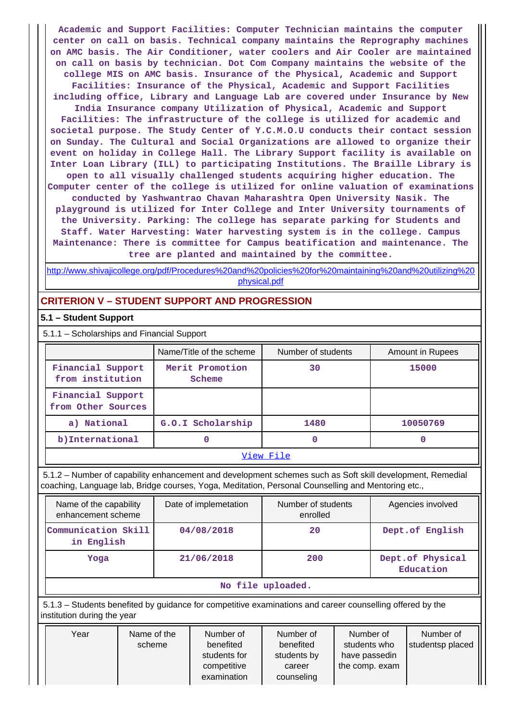**Academic and Support Facilities: Computer Technician maintains the computer center on call on basis. Technical company maintains the Reprography machines on AMC basis. The Air Conditioner, water coolers and Air Cooler are maintained on call on basis by technician. Dot Com Company maintains the website of the college MIS on AMC basis. Insurance of the Physical, Academic and Support Facilities: Insurance of the Physical, Academic and Support Facilities including office, Library and Language Lab are covered under Insurance by New India Insurance company Utilization of Physical, Academic and Support Facilities: The infrastructure of the college is utilized for academic and societal purpose. The Study Center of Y.C.M.O.U conducts their contact session on Sunday. The Cultural and Social Organizations are allowed to organize their event on holiday in College Hall. The Library Support facility is available on Inter Loan Library (ILL) to participating Institutions. The Braille Library is open to all visually challenged students acquiring higher education. The Computer center of the college is utilized for online valuation of examinations conducted by Yashwantrao Chavan Maharashtra Open University Nasik. The playground is utilized for Inter College and Inter University tournaments of the University. Parking: The college has separate parking for Students and Staff. Water Harvesting: Water harvesting system is in the college. Campus Maintenance: There is committee for Campus beatification and maintenance. The tree are planted and maintained by the committee.**

[http://www.shivajicollege.org/pdf/Procedures%20and%20policies%20for%20maintaining%20and%20utilizing%20](http://www.shivajicollege.org/pdf/Procedures%20and%20policies%20for%20maintaining%20and%20utilizing%20physical.pdf) [physical.pdf](http://www.shivajicollege.org/pdf/Procedures%20and%20policies%20for%20maintaining%20and%20utilizing%20physical.pdf)

# **CRITERION V – STUDENT SUPPORT AND PROGRESSION**

## **5.1 – Student Support**

5.1.1 – Scholarships and Financial Support

|                                         | Name/Title of the scheme  | Number of students | Amount in Rupees |  |  |  |  |
|-----------------------------------------|---------------------------|--------------------|------------------|--|--|--|--|
| Financial Support<br>from institution   | Merit Promotion<br>Scheme | 30                 | 15000            |  |  |  |  |
| Financial Support<br>from Other Sources |                           |                    |                  |  |  |  |  |
| a) National                             | G.O.I Scholarship         | 1480               | 10050769         |  |  |  |  |
| b) International                        | 0                         | 0                  | 0                |  |  |  |  |
| View File                               |                           |                    |                  |  |  |  |  |

 5.1.2 – Number of capability enhancement and development schemes such as Soft skill development, Remedial coaching, Language lab, Bridge courses, Yoga, Meditation, Personal Counselling and Mentoring etc.,

| Name of the capability<br>enhancement scheme | Date of implemetation | Number of students<br>enrolled | Agencies involved             |  |  |  |  |  |
|----------------------------------------------|-----------------------|--------------------------------|-------------------------------|--|--|--|--|--|
| Communication Skill<br>in English            | 04/08/2018            | 20                             | Dept.of English               |  |  |  |  |  |
| Yoga                                         | 21/06/2018            | 200                            | Dept.of Physical<br>Education |  |  |  |  |  |
| No file uploaded.                            |                       |                                |                               |  |  |  |  |  |

 5.1.3 – Students benefited by guidance for competitive examinations and career counselling offered by the institution during the year

| Year | Name of the<br>scheme | Number of<br>benefited<br>students for<br>competitive | Number of<br>benefited<br>students by<br>career | Number of<br>students who<br>have passedin<br>the comp. exam | Number of<br>studentsp placed |
|------|-----------------------|-------------------------------------------------------|-------------------------------------------------|--------------------------------------------------------------|-------------------------------|
|      |                       | examination                                           | counseling                                      |                                                              |                               |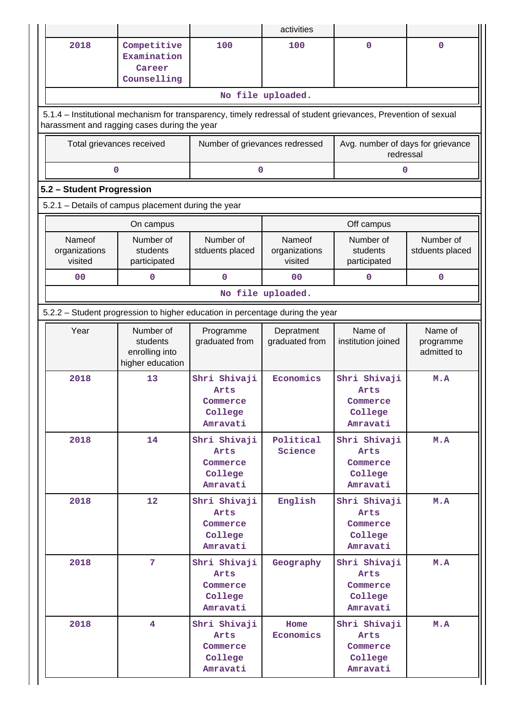|                                                                                                                                                                |                                                             |                                                                               | activities                         |                                                         |                                     |  |  |  |  |  |  |
|----------------------------------------------------------------------------------------------------------------------------------------------------------------|-------------------------------------------------------------|-------------------------------------------------------------------------------|------------------------------------|---------------------------------------------------------|-------------------------------------|--|--|--|--|--|--|
| 2018                                                                                                                                                           | Competitive<br>Examination<br>Career<br>Counselling         | 100                                                                           | 100                                | $\mathbf{0}$                                            | 0                                   |  |  |  |  |  |  |
|                                                                                                                                                                |                                                             |                                                                               | No file uploaded.                  |                                                         |                                     |  |  |  |  |  |  |
| 5.1.4 – Institutional mechanism for transparency, timely redressal of student grievances, Prevention of sexual<br>harassment and ragging cases during the year |                                                             |                                                                               |                                    |                                                         |                                     |  |  |  |  |  |  |
| Total grievances received                                                                                                                                      |                                                             | Number of grievances redressed                                                |                                    | Avg. number of days for grievance<br>redressal          |                                     |  |  |  |  |  |  |
| 0<br>$\mathbf 0$<br>0                                                                                                                                          |                                                             |                                                                               |                                    |                                                         |                                     |  |  |  |  |  |  |
| 5.2 - Student Progression                                                                                                                                      |                                                             |                                                                               |                                    |                                                         |                                     |  |  |  |  |  |  |
| 5.2.1 - Details of campus placement during the year                                                                                                            |                                                             |                                                                               |                                    |                                                         |                                     |  |  |  |  |  |  |
|                                                                                                                                                                | On campus                                                   |                                                                               |                                    | Off campus                                              |                                     |  |  |  |  |  |  |
| Nameof<br>organizations<br>visited                                                                                                                             | Number of<br>students<br>participated                       | Number of<br>stduents placed                                                  | Nameof<br>organizations<br>visited | Number of<br>students<br>participated                   | Number of<br>stduents placed        |  |  |  |  |  |  |
| 0 <sub>0</sub>                                                                                                                                                 | 0                                                           | $\Omega$                                                                      | 0 <sub>0</sub>                     | 0                                                       | $\mathbf 0$                         |  |  |  |  |  |  |
|                                                                                                                                                                |                                                             |                                                                               | No file uploaded.                  |                                                         |                                     |  |  |  |  |  |  |
|                                                                                                                                                                |                                                             | 5.2.2 – Student progression to higher education in percentage during the year |                                    |                                                         |                                     |  |  |  |  |  |  |
| Year                                                                                                                                                           | Number of<br>students<br>enrolling into<br>higher education | Programme<br>graduated from                                                   | Depratment<br>graduated from       | Name of<br>institution joined                           | Name of<br>programme<br>admitted to |  |  |  |  |  |  |
| 2018                                                                                                                                                           | 13                                                          | Shri Shivaji<br>Arts<br>Commerce<br>College<br>Amravati                       | Economics                          | Shri Shivaji<br>Arts<br>Commerce<br>College<br>Amravati | M.A                                 |  |  |  |  |  |  |
| 2018                                                                                                                                                           | 14                                                          | Shri Shivaji<br>Arts<br>Commerce<br>College<br>Amravati                       | Political<br>Science               | Shri Shivaji<br>Arts<br>Commerce<br>College<br>Amravati | M.A                                 |  |  |  |  |  |  |
| 2018                                                                                                                                                           | 12                                                          | Shri Shivaji<br>Arts<br>Commerce<br>College<br>Amravati                       | English                            | Shri Shivaji<br>Arts<br>Commerce<br>College<br>Amravati | M.A                                 |  |  |  |  |  |  |
| 2018                                                                                                                                                           | $7\phantom{.}$                                              | Shri Shivaji<br>Arts<br>Commerce<br>College<br>Amravati                       | Geography                          | Shri Shivaji<br>Arts<br>Commerce<br>College<br>Amravati | M.A                                 |  |  |  |  |  |  |
| 2018                                                                                                                                                           | $\overline{4}$                                              | Shri Shivaji<br>Arts<br>Commerce<br>College<br>Amravati                       | Home<br>Economics                  | Shri Shivaji<br>Arts<br>Commerce<br>College<br>Amravati | M.A                                 |  |  |  |  |  |  |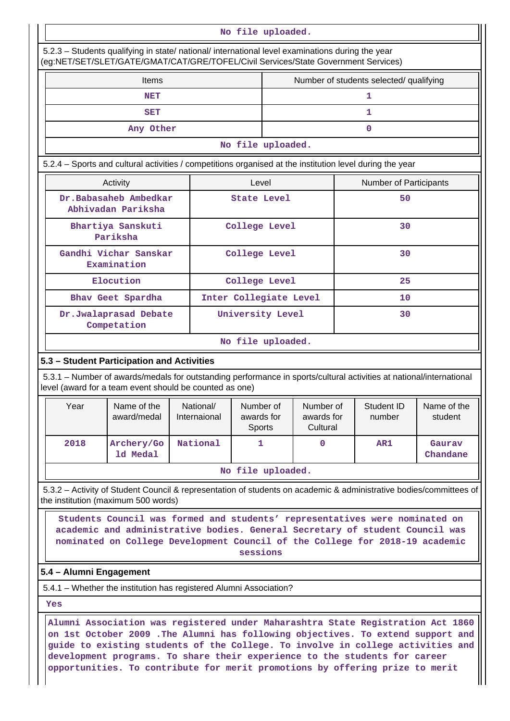|                                                                                                          | No file uploaded.                                                                                                                                                                                                                                       |                                                                                                                                                                                                                                                                                                                                                                                                                     |  |                           |                                          |                        |                                     |    |                        |                                                                                                                    |  |  |
|----------------------------------------------------------------------------------------------------------|---------------------------------------------------------------------------------------------------------------------------------------------------------------------------------------------------------------------------------------------------------|---------------------------------------------------------------------------------------------------------------------------------------------------------------------------------------------------------------------------------------------------------------------------------------------------------------------------------------------------------------------------------------------------------------------|--|---------------------------|------------------------------------------|------------------------|-------------------------------------|----|------------------------|--------------------------------------------------------------------------------------------------------------------|--|--|
|                                                                                                          |                                                                                                                                                                                                                                                         | 5.2.3 - Students qualifying in state/ national/ international level examinations during the year<br>(eg:NET/SET/SLET/GATE/GMAT/CAT/GRE/TOFEL/Civil Services/State Government Services)                                                                                                                                                                                                                              |  |                           |                                          |                        |                                     |    |                        |                                                                                                                    |  |  |
|                                                                                                          | Number of students selected/ qualifying<br><b>Items</b>                                                                                                                                                                                                 |                                                                                                                                                                                                                                                                                                                                                                                                                     |  |                           |                                          |                        |                                     |    |                        |                                                                                                                    |  |  |
|                                                                                                          |                                                                                                                                                                                                                                                         | <b>NET</b>                                                                                                                                                                                                                                                                                                                                                                                                          |  |                           |                                          |                        |                                     |    | $\mathbf{1}$           |                                                                                                                    |  |  |
|                                                                                                          |                                                                                                                                                                                                                                                         | <b>SET</b>                                                                                                                                                                                                                                                                                                                                                                                                          |  |                           |                                          |                        |                                     |    | 1                      |                                                                                                                    |  |  |
|                                                                                                          |                                                                                                                                                                                                                                                         | Any Other                                                                                                                                                                                                                                                                                                                                                                                                           |  |                           |                                          |                        |                                     |    | 0                      |                                                                                                                    |  |  |
|                                                                                                          | No file uploaded.                                                                                                                                                                                                                                       |                                                                                                                                                                                                                                                                                                                                                                                                                     |  |                           |                                          |                        |                                     |    |                        |                                                                                                                    |  |  |
| 5.2.4 - Sports and cultural activities / competitions organised at the institution level during the year |                                                                                                                                                                                                                                                         |                                                                                                                                                                                                                                                                                                                                                                                                                     |  |                           |                                          |                        |                                     |    |                        |                                                                                                                    |  |  |
|                                                                                                          |                                                                                                                                                                                                                                                         | Activity                                                                                                                                                                                                                                                                                                                                                                                                            |  |                           | Level                                    |                        |                                     |    | Number of Participants |                                                                                                                    |  |  |
|                                                                                                          |                                                                                                                                                                                                                                                         | Dr.Babasaheb Ambedkar<br>Abhivadan Pariksha                                                                                                                                                                                                                                                                                                                                                                         |  |                           | <b>State Level</b>                       |                        |                                     |    | 50                     |                                                                                                                    |  |  |
|                                                                                                          |                                                                                                                                                                                                                                                         | Bhartiya Sanskuti<br>Pariksha                                                                                                                                                                                                                                                                                                                                                                                       |  |                           |                                          | College Level          |                                     |    | 30                     |                                                                                                                    |  |  |
|                                                                                                          | Gandhi Vichar Sanskar<br>Examination                                                                                                                                                                                                                    |                                                                                                                                                                                                                                                                                                                                                                                                                     |  |                           | College Level                            |                        |                                     | 30 |                        |                                                                                                                    |  |  |
|                                                                                                          |                                                                                                                                                                                                                                                         | Elocution                                                                                                                                                                                                                                                                                                                                                                                                           |  |                           |                                          | College Level          |                                     |    | 25                     |                                                                                                                    |  |  |
|                                                                                                          |                                                                                                                                                                                                                                                         | Bhav Geet Spardha                                                                                                                                                                                                                                                                                                                                                                                                   |  |                           |                                          | Inter Collegiate Level |                                     | 10 |                        |                                                                                                                    |  |  |
|                                                                                                          |                                                                                                                                                                                                                                                         | Dr.Jwalaprasad Debate<br>Competation                                                                                                                                                                                                                                                                                                                                                                                |  | University Level          |                                          |                        | 30                                  |    |                        |                                                                                                                    |  |  |
|                                                                                                          |                                                                                                                                                                                                                                                         |                                                                                                                                                                                                                                                                                                                                                                                                                     |  |                           |                                          | No file uploaded.      |                                     |    |                        |                                                                                                                    |  |  |
|                                                                                                          |                                                                                                                                                                                                                                                         | 5.3 - Student Participation and Activities<br>5.3.1 – Number of awards/medals for outstanding performance in sports/cultural activities at national/international<br>level (award for a team event should be counted as one)                                                                                                                                                                                        |  |                           |                                          |                        |                                     |    |                        |                                                                                                                    |  |  |
|                                                                                                          | Year                                                                                                                                                                                                                                                    | Name of the<br>award/medal                                                                                                                                                                                                                                                                                                                                                                                          |  | National/<br>Internaional | Number of<br>awards for<br><b>Sports</b> |                        | Number of<br>awards for<br>Cultural |    | Student ID<br>number   | Name of the<br>student                                                                                             |  |  |
|                                                                                                          | 2018                                                                                                                                                                                                                                                    | Archery/Go<br>1d Medal                                                                                                                                                                                                                                                                                                                                                                                              |  | National                  | 1                                        |                        | 0                                   |    | AR1                    | Gaurav<br>Chandane                                                                                                 |  |  |
|                                                                                                          |                                                                                                                                                                                                                                                         |                                                                                                                                                                                                                                                                                                                                                                                                                     |  |                           |                                          | No file uploaded.      |                                     |    |                        |                                                                                                                    |  |  |
|                                                                                                          |                                                                                                                                                                                                                                                         | the institution (maximum 500 words)                                                                                                                                                                                                                                                                                                                                                                                 |  |                           |                                          |                        |                                     |    |                        | 5.3.2 - Activity of Student Council & representation of students on academic & administrative bodies/committees of |  |  |
|                                                                                                          | Students Council was formed and students' representatives were nominated on<br>academic and administrative bodies. General Secretary of student Council was<br>nominated on College Development Council of the College for 2018-19 academic<br>sessions |                                                                                                                                                                                                                                                                                                                                                                                                                     |  |                           |                                          |                        |                                     |    |                        |                                                                                                                    |  |  |
|                                                                                                          | 5.4 - Alumni Engagement                                                                                                                                                                                                                                 |                                                                                                                                                                                                                                                                                                                                                                                                                     |  |                           |                                          |                        |                                     |    |                        |                                                                                                                    |  |  |
|                                                                                                          |                                                                                                                                                                                                                                                         | 5.4.1 - Whether the institution has registered Alumni Association?                                                                                                                                                                                                                                                                                                                                                  |  |                           |                                          |                        |                                     |    |                        |                                                                                                                    |  |  |
|                                                                                                          | Yes                                                                                                                                                                                                                                                     |                                                                                                                                                                                                                                                                                                                                                                                                                     |  |                           |                                          |                        |                                     |    |                        |                                                                                                                    |  |  |
|                                                                                                          |                                                                                                                                                                                                                                                         | Alumni Association was registered under Maharashtra State Registration Act 1860<br>on 1st October 2009 .The Alumni has following objectives. To extend support and<br>guide to existing students of the College. To involve in college activities and<br>development programs. To share their experience to the students for career<br>opportunities. To contribute for merit promotions by offering prize to merit |  |                           |                                          |                        |                                     |    |                        |                                                                                                                    |  |  |

 $\mathbf{1}$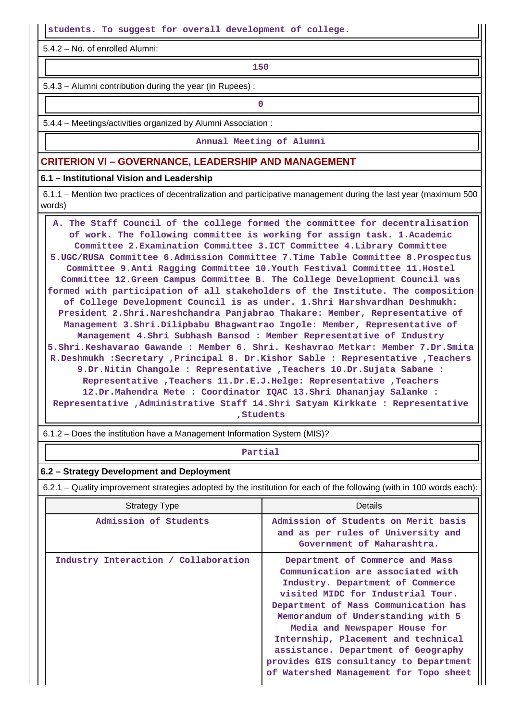**students. To suggest for overall development of college.**

5.4.2 – No. of enrolled Alumni:

**150**

5.4.3 – Alumni contribution during the year (in Rupees) :

**0**

5.4.4 – Meetings/activities organized by Alumni Association :

**Annual Meeting of Alumni**

## **CRITERION VI – GOVERNANCE, LEADERSHIP AND MANAGEMENT**

#### **6.1 – Institutional Vision and Leadership**

 6.1.1 – Mention two practices of decentralization and participative management during the last year (maximum 500 words)

 **A. The Staff Council of the college formed the committee for decentralisation of work. The following committee is working for assign task. 1.Academic Committee 2.Examination Committee 3.ICT Committee 4.Library Committee 5.UGC/RUSA Committee 6.Admission Committee 7.Time Table Committee 8.Prospectus Committee 9.Anti Ragging Committee 10.Youth Festival Committee 11.Hostel Committee 12.Green Campus Committee B. The College Development Council was formed with participation of all stakeholders of the Institute. The composition of College Development Council is as under. 1.Shri Harshvardhan Deshmukh: President 2.Shri.Nareshchandra Panjabrao Thakare: Member, Representative of Management 3.Shri.Dilipbabu Bhagwantrao Ingole: Member, Representative of Management 4.Shri Subhash Bansod : Member Representative of Industry 5.Shri.Keshavarao Gawande : Member 6. Shri. Keshavrao Metkar: Member 7.Dr.Smita R.Deshmukh :Secretary ,Principal 8. Dr.Kishor Sable : Representative ,Teachers 9.Dr.Nitin Changole : Representative ,Teachers 10.Dr.Sujata Sabane : Representative ,Teachers 11.Dr.E.J.Helge: Representative ,Teachers 12.Dr.Mahendra Mete : Coordinator IQAC 13.Shri Dhananjay Salanke : Representative ,Administrative Staff 14.Shri Satyam Kirkkate : Representative ,Students**

6.1.2 – Does the institution have a Management Information System (MIS)?

#### **Partial**

#### **6.2 – Strategy Development and Deployment**

6.2.1 – Quality improvement strategies adopted by the institution for each of the following (with in 100 words each):

| <b>Strategy Type</b>                 | <b>Details</b>                                                                                                                                                                                                                                                                                                                                                                                                                 |
|--------------------------------------|--------------------------------------------------------------------------------------------------------------------------------------------------------------------------------------------------------------------------------------------------------------------------------------------------------------------------------------------------------------------------------------------------------------------------------|
| Admission of Students                | Admission of Students on Merit basis<br>and as per rules of University and<br>Government of Maharashtra.                                                                                                                                                                                                                                                                                                                       |
| Industry Interaction / Collaboration | Department of Commerce and Mass<br>Communication are associated with<br>Industry. Department of Commerce<br>visited MIDC for Industrial Tour.<br>Department of Mass Communication has<br>Memorandum of Understanding with 5<br>Media and Newspaper House for<br>Internship, Placement and technical<br>assistance. Department of Geography<br>provides GIS consultancy to Department<br>of Watershed Management for Topo sheet |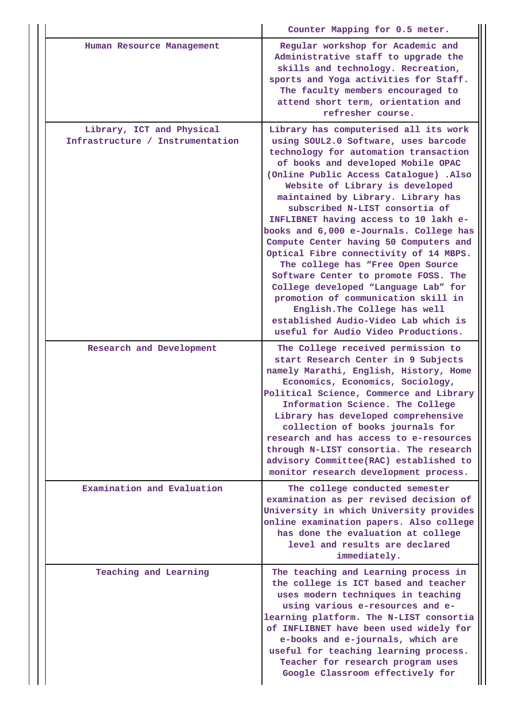|                                                               | Counter Mapping for 0.5 meter.                                                                                                                                                                                                                                                                                                                                                                                                                                                                                                                                                                                                                                                                                                                                        |  |  |  |
|---------------------------------------------------------------|-----------------------------------------------------------------------------------------------------------------------------------------------------------------------------------------------------------------------------------------------------------------------------------------------------------------------------------------------------------------------------------------------------------------------------------------------------------------------------------------------------------------------------------------------------------------------------------------------------------------------------------------------------------------------------------------------------------------------------------------------------------------------|--|--|--|
| Human Resource Management                                     | Regular workshop for Academic and<br>Administrative staff to upgrade the<br>skills and technology. Recreation,<br>sports and Yoga activities for Staff.<br>The faculty members encouraged to<br>attend short term, orientation and<br>refresher course.                                                                                                                                                                                                                                                                                                                                                                                                                                                                                                               |  |  |  |
| Library, ICT and Physical<br>Infrastructure / Instrumentation | Library has computerised all its work<br>using SOUL2.0 Software, uses barcode<br>technology for automation transaction<br>of books and developed Mobile OPAC<br>(Online Public Access Catalogue) .Also<br>Website of Library is developed<br>maintained by Library. Library has<br>subscribed N-LIST consortia of<br>INFLIBNET having access to 10 lakh e-<br>books and 6,000 e-Journals. College has<br>Compute Center having 50 Computers and<br>Optical Fibre connectivity of 14 MBPS.<br>The college has "Free Open Source<br>Software Center to promote FOSS. The<br>College developed "Language Lab" for<br>promotion of communication skill in<br>English. The College has well<br>established Audio-Video Lab which is<br>useful for Audio Video Productions. |  |  |  |
| Research and Development                                      | The College received permission to<br>start Research Center in 9 Subjects<br>namely Marathi, English, History, Home<br>Economics, Economics, Sociology,<br>Political Science, Commerce and Library<br>Information Science. The College<br>Library has developed comprehensive<br>collection of books journals for<br>research and has access to e-resources<br>through N-LIST consortia. The research<br>advisory Committee(RAC) established to<br>monitor research development process.                                                                                                                                                                                                                                                                              |  |  |  |
| Examination and Evaluation                                    | The college conducted semester<br>examination as per revised decision of<br>University in which University provides<br>online examination papers. Also college<br>has done the evaluation at college<br>level and results are declared<br>immediately.                                                                                                                                                                                                                                                                                                                                                                                                                                                                                                                |  |  |  |
| Teaching and Learning                                         | The teaching and Learning process in<br>the college is ICT based and teacher<br>uses modern techniques in teaching<br>using various e-resources and e-<br>learning platform. The N-LIST consortia<br>of INFLIBNET have been used widely for<br>e-books and e-journals, which are<br>useful for teaching learning process.<br>Teacher for research program uses<br>Google Classroom effectively for                                                                                                                                                                                                                                                                                                                                                                    |  |  |  |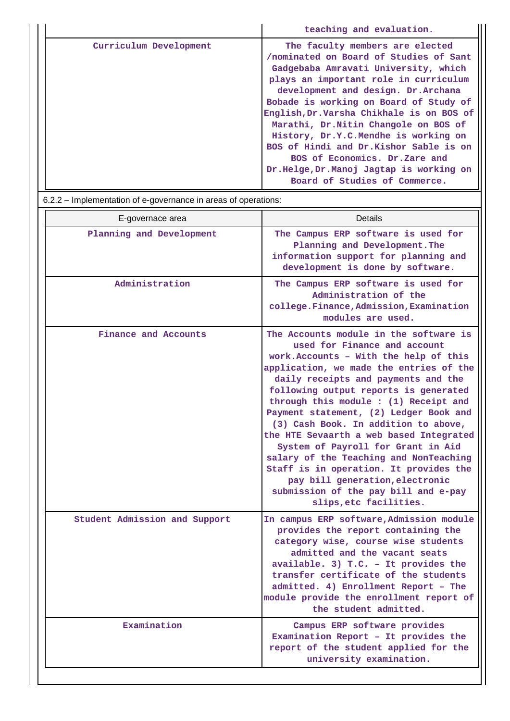|                        | teaching and evaluation.                                                                                                                                                                                                                                                                                                                                                                                                                             |
|------------------------|------------------------------------------------------------------------------------------------------------------------------------------------------------------------------------------------------------------------------------------------------------------------------------------------------------------------------------------------------------------------------------------------------------------------------------------------------|
| Curriculum Development | The faculty members are elected<br>/nominated on Board of Studies of Sant<br>Gadgebaba Amravati University, which<br>plays an important role in curriculum<br>development and design. Dr. Archana<br>Bobade is working on Board of Study of<br>English, Dr. Varsha Chikhale is on BOS of<br>Marathi, Dr. Nitin Changole on BOS of<br>History, Dr.Y.C.Mendhe is working on<br>BOS of Hindi and Dr.Kishor Sable is on<br>BOS of Economics. Dr.Zare and |
|                        | Dr.Helge, Dr.Manoj Jagtap is working on<br>Board of Studies of Commerce.                                                                                                                                                                                                                                                                                                                                                                             |

| 6.2.2 – Implementation of e-governance in areas of operations: |                                                                                                                                                                                                                                                                                                                                                                                                                                                                                                                                                                                                                                                  |
|----------------------------------------------------------------|--------------------------------------------------------------------------------------------------------------------------------------------------------------------------------------------------------------------------------------------------------------------------------------------------------------------------------------------------------------------------------------------------------------------------------------------------------------------------------------------------------------------------------------------------------------------------------------------------------------------------------------------------|
| E-governace area                                               | <b>Details</b>                                                                                                                                                                                                                                                                                                                                                                                                                                                                                                                                                                                                                                   |
| Planning and Development                                       | The Campus ERP software is used for<br>Planning and Development. The<br>information support for planning and<br>development is done by software.                                                                                                                                                                                                                                                                                                                                                                                                                                                                                                 |
| Administration                                                 | The Campus ERP software is used for<br>Administration of the<br>college.Finance, Admission, Examination<br>modules are used.                                                                                                                                                                                                                                                                                                                                                                                                                                                                                                                     |
| Finance and Accounts                                           | The Accounts module in the software is<br>used for Finance and account<br>work. Accounts - With the help of this<br>application, we made the entries of the<br>daily receipts and payments and the<br>following output reports is generated<br>through this module : (1) Receipt and<br>Payment statement, (2) Ledger Book and<br>(3) Cash Book. In addition to above,<br>the HTE Sevaarth a web based Integrated<br>System of Payroll for Grant in Aid<br>salary of the Teaching and NonTeaching<br>Staff is in operation. It provides the<br>pay bill generation, electronic<br>submission of the pay bill and e-pay<br>slips, etc facilities. |
| Student Admission and Support                                  | In campus ERP software, Admission module<br>provides the report containing the<br>category wise, course wise students<br>admitted and the vacant seats<br>available. 3) T.C. - It provides the<br>transfer certificate of the students<br>admitted. 4) Enrollment Report - The<br>module provide the enrollment report of<br>the student admitted.                                                                                                                                                                                                                                                                                               |
| Examination                                                    | Campus ERP software provides<br>Examination Report - It provides the<br>report of the student applied for the<br>university examination.                                                                                                                                                                                                                                                                                                                                                                                                                                                                                                         |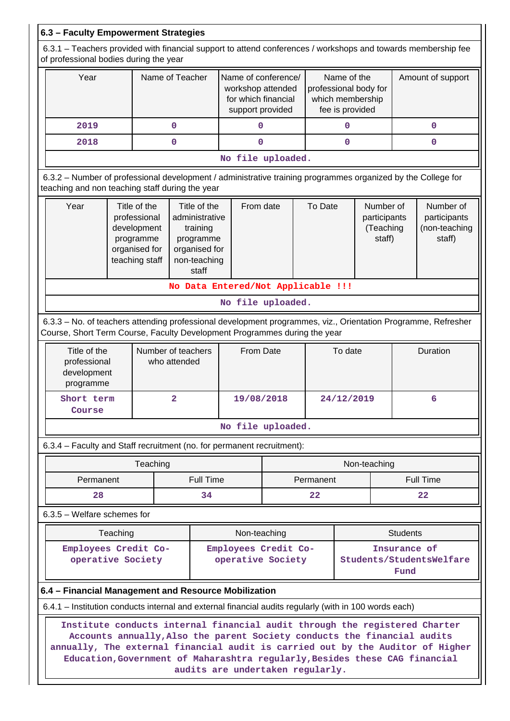| 6.3 - Faculty Empowerment Strategies                                                                                                                                                                                                        |                 |                                                                                                   |                         |                                                                                     |                                                                                                              |                                                                             |         |                                                  |             |                                                      |                 |                  |
|---------------------------------------------------------------------------------------------------------------------------------------------------------------------------------------------------------------------------------------------|-----------------|---------------------------------------------------------------------------------------------------|-------------------------|-------------------------------------------------------------------------------------|--------------------------------------------------------------------------------------------------------------|-----------------------------------------------------------------------------|---------|--------------------------------------------------|-------------|------------------------------------------------------|-----------------|------------------|
| 6.3.1 – Teachers provided with financial support to attend conferences / workshops and towards membership fee<br>of professional bodies during the year                                                                                     |                 |                                                                                                   |                         |                                                                                     |                                                                                                              |                                                                             |         |                                                  |             |                                                      |                 |                  |
| Year                                                                                                                                                                                                                                        | Name of Teacher |                                                                                                   |                         | Name of conference/<br>workshop attended<br>for which financial<br>support provided |                                                                                                              | Name of the<br>professional body for<br>which membership<br>fee is provided |         | Amount of support                                |             |                                                      |                 |                  |
| 2019                                                                                                                                                                                                                                        |                 |                                                                                                   | 0                       |                                                                                     | 0                                                                                                            |                                                                             |         |                                                  | 0           |                                                      |                 | 0                |
| 2018                                                                                                                                                                                                                                        |                 |                                                                                                   | $\mathbf 0$             |                                                                                     | $\mathbf{O}$                                                                                                 |                                                                             |         |                                                  | $\mathbf 0$ |                                                      |                 | 0                |
|                                                                                                                                                                                                                                             |                 |                                                                                                   |                         |                                                                                     | No file uploaded.                                                                                            |                                                                             |         |                                                  |             |                                                      |                 |                  |
| 6.3.2 - Number of professional development / administrative training programmes organized by the College for<br>teaching and non teaching staff during the year                                                                             |                 |                                                                                                   |                         |                                                                                     |                                                                                                              |                                                                             |         |                                                  |             |                                                      |                 |                  |
| Year<br>Title of the<br>professional<br>development<br>programme<br>organised for<br>teaching staff                                                                                                                                         |                 | Title of the<br>administrative<br>training<br>programme<br>organised for<br>non-teaching<br>staff | From date               |                                                                                     |                                                                                                              | To Date                                                                     |         | Number of<br>participants<br>(Teaching<br>staff) |             | Number of<br>participants<br>(non-teaching<br>staff) |                 |                  |
|                                                                                                                                                                                                                                             |                 |                                                                                                   |                         |                                                                                     | No Data Entered/Not Applicable !!!                                                                           |                                                                             |         |                                                  |             |                                                      |                 |                  |
|                                                                                                                                                                                                                                             |                 |                                                                                                   |                         |                                                                                     | No file uploaded.                                                                                            |                                                                             |         |                                                  |             |                                                      |                 |                  |
| 6.3.3 - No. of teachers attending professional development programmes, viz., Orientation Programme, Refresher<br>Course, Short Term Course, Faculty Development Programmes during the year                                                  |                 |                                                                                                   |                         |                                                                                     |                                                                                                              |                                                                             |         |                                                  |             |                                                      |                 |                  |
| Title of the<br>professional<br>development<br>programme                                                                                                                                                                                    |                 | Number of teachers                                                                                | who attended            |                                                                                     | From Date                                                                                                    |                                                                             | To date |                                                  |             |                                                      | Duration        |                  |
| Short term<br>Course                                                                                                                                                                                                                        |                 |                                                                                                   | $\overline{\mathbf{2}}$ |                                                                                     | 19/08/2018                                                                                                   |                                                                             |         | 24/12/2019<br>6                                  |             |                                                      |                 |                  |
|                                                                                                                                                                                                                                             |                 |                                                                                                   |                         |                                                                                     | No file uploaded.                                                                                            |                                                                             |         |                                                  |             |                                                      |                 |                  |
| 6.3.4 - Faculty and Staff recruitment (no. for permanent recruitment):                                                                                                                                                                      |                 |                                                                                                   |                         |                                                                                     |                                                                                                              |                                                                             |         |                                                  |             |                                                      |                 |                  |
|                                                                                                                                                                                                                                             |                 | Teaching                                                                                          |                         |                                                                                     |                                                                                                              |                                                                             |         |                                                  |             | Non-teaching                                         |                 |                  |
| Permanent                                                                                                                                                                                                                                   |                 |                                                                                                   |                         | <b>Full Time</b>                                                                    |                                                                                                              |                                                                             |         | Permanent                                        |             |                                                      |                 | <b>Full Time</b> |
| 28                                                                                                                                                                                                                                          |                 |                                                                                                   |                         | 34                                                                                  |                                                                                                              |                                                                             |         | 22                                               |             |                                                      |                 | 22               |
| $6.3.5$ – Welfare schemes for                                                                                                                                                                                                               |                 |                                                                                                   |                         |                                                                                     |                                                                                                              |                                                                             |         |                                                  |             |                                                      |                 |                  |
|                                                                                                                                                                                                                                             | Teaching        |                                                                                                   |                         |                                                                                     | Non-teaching                                                                                                 |                                                                             |         |                                                  |             |                                                      | <b>Students</b> |                  |
| Employees Credit Co-<br>operative Society                                                                                                                                                                                                   |                 |                                                                                                   |                         | Employees Credit Co-<br>operative Society                                           |                                                                                                              |                                                                             |         | Insurance of<br>Students/StudentsWelfare<br>Fund |             |                                                      |                 |                  |
| 6.4 - Financial Management and Resource Mobilization                                                                                                                                                                                        |                 |                                                                                                   |                         |                                                                                     |                                                                                                              |                                                                             |         |                                                  |             |                                                      |                 |                  |
| 6.4.1 – Institution conducts internal and external financial audits regularly (with in 100 words each)                                                                                                                                      |                 |                                                                                                   |                         |                                                                                     |                                                                                                              |                                                                             |         |                                                  |             |                                                      |                 |                  |
| Institute conducts internal financial audit through the registered Charter<br>annually, The external financial audit is carried out by the Auditor of Higher<br>Education, Government of Maharashtra regularly, Besides these CAG financial |                 |                                                                                                   |                         |                                                                                     | Accounts annually, Also the parent Society conducts the financial audits<br>audits are undertaken regularly. |                                                                             |         |                                                  |             |                                                      |                 |                  |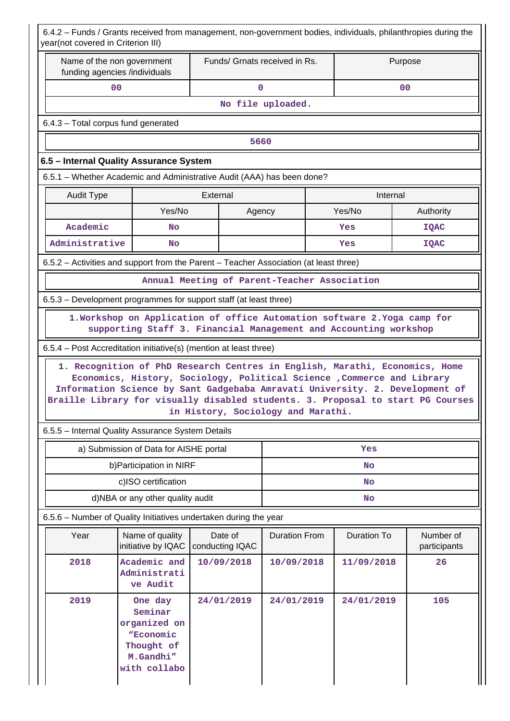| 6.4.2 - Funds / Grants received from management, non-government bodies, individuals, philanthropies during the<br>year(not covered in Criterion III)            |                                                                                                                                                        |          |                            |                                    |    |                |                           |  |  |  |
|-----------------------------------------------------------------------------------------------------------------------------------------------------------------|--------------------------------------------------------------------------------------------------------------------------------------------------------|----------|----------------------------|------------------------------------|----|----------------|---------------------------|--|--|--|
| Name of the non government<br>funding agencies /individuals                                                                                                     |                                                                                                                                                        |          |                            | Funds/ Grnats received in Rs.      |    |                | Purpose                   |  |  |  |
| 00                                                                                                                                                              |                                                                                                                                                        |          | $\mathbf 0$                |                                    |    | 0 <sup>0</sup> |                           |  |  |  |
|                                                                                                                                                                 |                                                                                                                                                        |          |                            | No file uploaded.                  |    |                |                           |  |  |  |
| 6.4.3 - Total corpus fund generated                                                                                                                             |                                                                                                                                                        |          |                            |                                    |    |                |                           |  |  |  |
|                                                                                                                                                                 |                                                                                                                                                        |          | 5660                       |                                    |    |                |                           |  |  |  |
| 6.5 - Internal Quality Assurance System                                                                                                                         |                                                                                                                                                        |          |                            |                                    |    |                |                           |  |  |  |
| 6.5.1 - Whether Academic and Administrative Audit (AAA) has been done?                                                                                          |                                                                                                                                                        |          |                            |                                    |    |                |                           |  |  |  |
| <b>Audit Type</b>                                                                                                                                               |                                                                                                                                                        | External |                            |                                    |    | Internal       |                           |  |  |  |
|                                                                                                                                                                 | Yes/No                                                                                                                                                 |          | Agency                     |                                    |    | Yes/No         | Authority                 |  |  |  |
| Academic                                                                                                                                                        | <b>No</b>                                                                                                                                              |          |                            |                                    |    | Yes            | <b>IQAC</b>               |  |  |  |
| Administrative                                                                                                                                                  | <b>No</b>                                                                                                                                              |          |                            |                                    |    | Yes            | <b>IQAC</b>               |  |  |  |
| 6.5.2 – Activities and support from the Parent – Teacher Association (at least three)                                                                           |                                                                                                                                                        |          |                            |                                    |    |                |                           |  |  |  |
|                                                                                                                                                                 | Annual Meeting of Parent-Teacher Association                                                                                                           |          |                            |                                    |    |                |                           |  |  |  |
| 6.5.3 – Development programmes for support staff (at least three)                                                                                               |                                                                                                                                                        |          |                            |                                    |    |                |                           |  |  |  |
|                                                                                                                                                                 | 1. Workshop on Application of office Automation software 2. Yoga camp for<br>supporting Staff 3. Financial Management and Accounting workshop          |          |                            |                                    |    |                |                           |  |  |  |
| 6.5.4 – Post Accreditation initiative(s) (mention at least three)                                                                                               |                                                                                                                                                        |          |                            |                                    |    |                |                           |  |  |  |
| Information Science by Sant Gadgebaba Amravati University. 2. Development of<br>Braille Library for visually disabled students. 3. Proposal to start PG Courses | 1. Recognition of PhD Research Centres in English, Marathi, Economics, Home<br>Economics, History, Sociology, Political Science , Commerce and Library |          |                            | in History, Sociology and Marathi. |    |                |                           |  |  |  |
| 6.5.5 - Internal Quality Assurance System Details                                                                                                               |                                                                                                                                                        |          |                            |                                    |    |                |                           |  |  |  |
|                                                                                                                                                                 | a) Submission of Data for AISHE portal                                                                                                                 |          |                            |                                    |    | Yes            |                           |  |  |  |
|                                                                                                                                                                 | b) Participation in NIRF                                                                                                                               |          |                            |                                    | No |                |                           |  |  |  |
|                                                                                                                                                                 | c)ISO certification                                                                                                                                    |          |                            |                                    |    | No             |                           |  |  |  |
|                                                                                                                                                                 | d)NBA or any other quality audit                                                                                                                       |          |                            |                                    |    | <b>No</b>      |                           |  |  |  |
| 6.5.6 - Number of Quality Initiatives undertaken during the year                                                                                                |                                                                                                                                                        |          |                            |                                    |    |                |                           |  |  |  |
| Year                                                                                                                                                            | Name of quality<br>initiative by IQAC                                                                                                                  |          | Date of<br>conducting IQAC | <b>Duration From</b>               |    | Duration To    | Number of<br>participants |  |  |  |
| 2018                                                                                                                                                            | Academic and<br>Administrati<br>ve Audit                                                                                                               |          | 10/09/2018                 | 10/09/2018                         |    | 11/09/2018     | 26                        |  |  |  |
| 2019                                                                                                                                                            | One day<br>Seminar<br>organized on<br>"Economic<br>Thought of<br>M.Gandhi"<br>with collabo                                                             |          | 24/01/2019                 | 24/01/2019                         |    | 24/01/2019     | 105                       |  |  |  |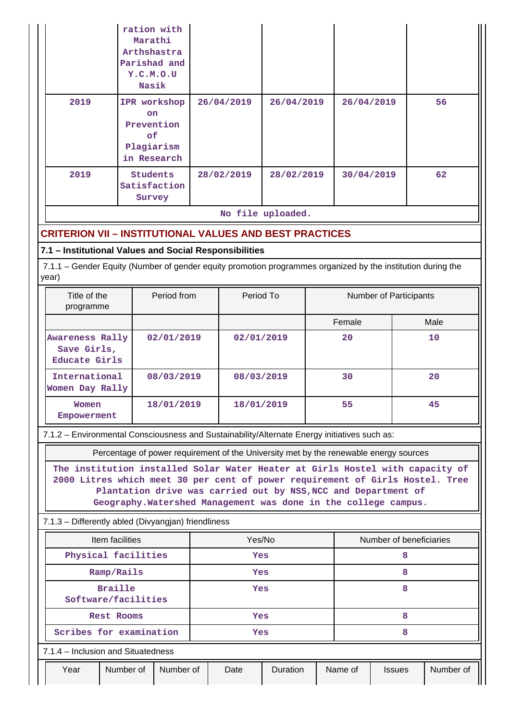|      | ration with<br>Marathi<br>Arthshastra<br>Parishad and<br>Y.C.M.O.U<br>Nasik |            |                   |            |    |
|------|-----------------------------------------------------------------------------|------------|-------------------|------------|----|
| 2019 | IPR workshop<br><b>on</b><br>Prevention<br>of.<br>Plagiarism<br>in Research | 26/04/2019 | 26/04/2019        | 26/04/2019 | 56 |
| 2019 | <b>Students</b><br>Satisfaction<br>Survey                                   | 28/02/2019 | 28/02/2019        | 30/04/2019 | 62 |
|      |                                                                             |            | No file uploaded. |            |    |

# **CRITERION VII – INSTITUTIONAL VALUES AND BEST PRACTICES**

## **7.1 – Institutional Values and Social Responsibilities**

 7.1.1 – Gender Equity (Number of gender equity promotion programmes organized by the institution during the year)

| Title of the<br>programme                              | Period from | Period To  | Number of Participants |      |
|--------------------------------------------------------|-------------|------------|------------------------|------|
|                                                        |             |            | Female                 | Male |
| Awareness Rally<br>Save Girls,<br><b>Educate Girls</b> | 02/01/2019  | 02/01/2019 | 20                     | 10   |
| International<br>Women Day Rally                       | 08/03/2019  | 08/03/2019 | 30                     | 20   |
| Women<br>Empowerment                                   | 18/01/2019  | 18/01/2019 | 55                     | 45   |

7.1.2 – Environmental Consciousness and Sustainability/Alternate Energy initiatives such as:

Percentage of power requirement of the University met by the renewable energy sources

**The institution installed Solar Water Heater at Girls Hostel with capacity of 2000 Litres which meet 30 per cent of power requirement of Girls Hostel. Tree Plantation drive was carried out by NSS,NCC and Department of Geography.Watershed Management was done in the college campus.**

## 7.1.3 – Differently abled (Divyangjan) friendliness

| Item facilities                       |                                    |  |            | Yes/No |                 |   | Number of beneficiaries |               |           |  |
|---------------------------------------|------------------------------------|--|------------|--------|-----------------|---|-------------------------|---------------|-----------|--|
| Physical facilities                   |                                    |  | Yes        |        |                 | 8 |                         |               |           |  |
| Ramp/Rails                            |                                    |  | <b>Yes</b> |        |                 | 8 |                         |               |           |  |
| <b>Braille</b><br>Software/facilities |                                    |  | Yes        |        |                 | 8 |                         |               |           |  |
|                                       | <b>Rest Rooms</b>                  |  | <b>Yes</b> |        |                 | 8 |                         |               |           |  |
|                                       | Scribes for examination            |  | <b>Yes</b> |        |                 | 8 |                         |               |           |  |
|                                       | 7.1.4 – Inclusion and Situatedness |  |            |        |                 |   |                         |               |           |  |
| Year                                  | Number of<br>Number of             |  |            | Date   | <b>Duration</b> |   | Name of                 | <b>Issues</b> | Number of |  |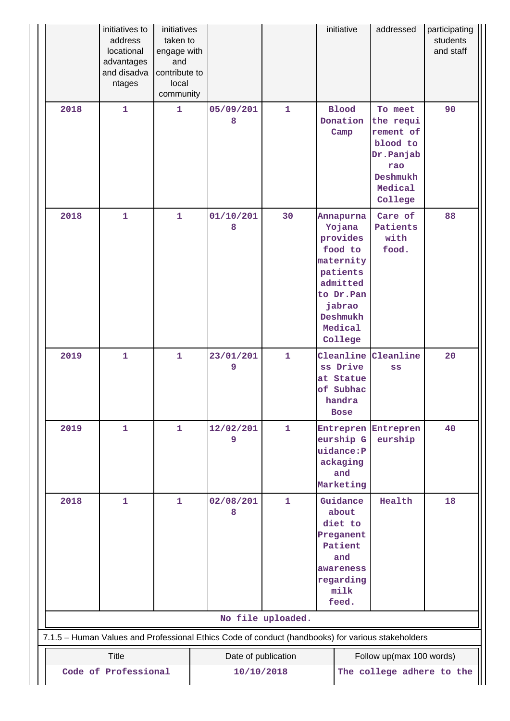|      | initiatives to<br>address<br>locational<br>advantages<br>and disadva<br>ntages                    | initiatives<br>taken to<br>engage with<br>and<br>contribute to<br>local<br>community |                     |                   | initiative                                                                                                                               | addressed                                                                                           | participating<br>students<br>and staff |
|------|---------------------------------------------------------------------------------------------------|--------------------------------------------------------------------------------------|---------------------|-------------------|------------------------------------------------------------------------------------------------------------------------------------------|-----------------------------------------------------------------------------------------------------|----------------------------------------|
| 2018 | $\mathbf{1}$                                                                                      | $\mathbf{1}$                                                                         | 05/09/201<br>8      | $\mathbf{1}$      | <b>Blood</b><br>Donation<br>Camp                                                                                                         | To meet<br>the requi<br>rement of<br>blood to<br>Dr.Panjab<br>rao<br>Deshmukh<br>Medical<br>College | 90                                     |
| 2018 | $\mathbf{1}$                                                                                      | 1                                                                                    | 01/10/201<br>8      | 30                | Annapurna<br>Yojana<br>provides<br>food to<br>maternity<br>patients<br>admitted<br>to Dr.Pan<br>jabrao<br>Deshmukh<br>Medical<br>College | Care of<br>Patients<br>with<br>food.                                                                | 88                                     |
| 2019 | $\mathbf{1}$                                                                                      | $\mathbf{1}$                                                                         | 23/01/201<br>9      | $\mathbf{1}$      | Cleanline<br>ss Drive<br>at Statue<br>of Subhac<br>handra<br><b>Bose</b>                                                                 | Cleanline<br>SS                                                                                     | 20                                     |
| 2019 | $\mathbf{1}$                                                                                      | $\mathbf{1}$                                                                         | 12/02/201<br>9      | $\mathbf{1}$      | eurship G<br>uidance: P<br>ackaging<br>and<br>Marketing                                                                                  | Entrepren Entrepren<br>eurship                                                                      | 40                                     |
| 2018 | $\mathbf{1}$                                                                                      | $\mathbf{1}$                                                                         | 02/08/201<br>8      | $\mathbf{1}$      | Guidance<br>about<br>diet to<br>Preganent<br>Patient<br>and<br>awareness<br>regarding<br>milk<br>feed.                                   | Health                                                                                              | 18                                     |
|      |                                                                                                   |                                                                                      |                     | No file uploaded. |                                                                                                                                          |                                                                                                     |                                        |
|      | 7.1.5 - Human Values and Professional Ethics Code of conduct (handbooks) for various stakeholders |                                                                                      |                     |                   |                                                                                                                                          |                                                                                                     |                                        |
|      | <b>Title</b>                                                                                      |                                                                                      | Date of publication |                   |                                                                                                                                          | Follow up(max 100 words)                                                                            |                                        |
|      | Code of Professional                                                                              |                                                                                      | 10/10/2018          |                   |                                                                                                                                          | The college adhere to the                                                                           |                                        |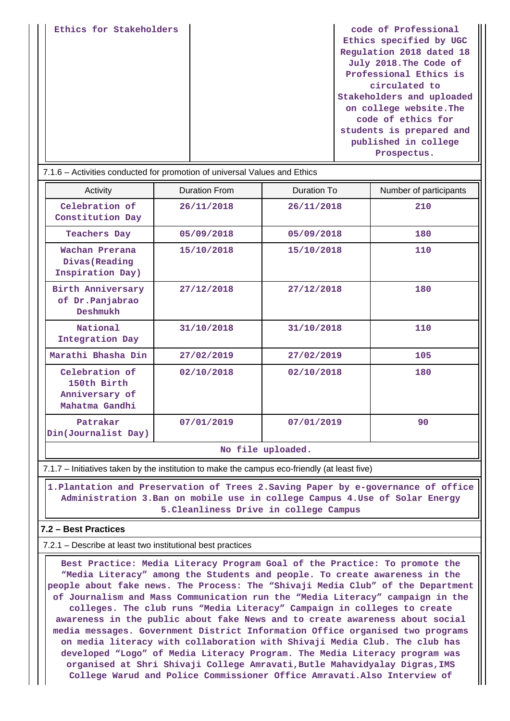|--|

| 7.1.6 – Activities conducted for promotion of universal Values and Ethics |                      |                   |                        |  |
|---------------------------------------------------------------------------|----------------------|-------------------|------------------------|--|
| Activity                                                                  | <b>Duration From</b> | Duration To       | Number of participants |  |
| Celebration of<br>Constitution Day                                        | 26/11/2018           | 26/11/2018        | 210                    |  |
| <b>Teachers Day</b>                                                       | 05/09/2018           | 05/09/2018        | 180                    |  |
| Wachan Prerana<br>Divas (Reading<br>Inspiration Day)                      | 15/10/2018           | 15/10/2018        | 110                    |  |
| Birth Anniversary<br>of Dr. Panjabrao<br>Deshmukh                         | 27/12/2018           | 27/12/2018        | 180                    |  |
| National<br>Integration Day                                               | 31/10/2018           | 31/10/2018        | 110                    |  |
| Marathi Bhasha Din                                                        | 27/02/2019           | 27/02/2019        | 105                    |  |
| Celebration of<br>150th Birth<br>Anniversary of<br>Mahatma Gandhi         | 02/10/2018           | 02/10/2018        | 180                    |  |
| Patrakar<br>Din(Journalist Day)                                           | 07/01/2019           | 07/01/2019        | 90                     |  |
|                                                                           |                      | No file uploaded. |                        |  |

#### 7.1.7 – Initiatives taken by the institution to make the campus eco-friendly (at least five)

 **1.Plantation and Preservation of Trees 2.Saving Paper by e-governance of office Administration 3.Ban on mobile use in college Campus 4.Use of Solar Energy 5.Cleanliness Drive in college Campus**

## **7.2 – Best Practices**

7.2.1 – Describe at least two institutional best practices

 **Best Practice: Media Literacy Program Goal of the Practice: To promote the "Media Literacy" among the Students and people. To create awareness in the people about fake news. The Process: The "Shivaji Media Club" of the Department of Journalism and Mass Communication run the "Media Literacy" campaign in the colleges. The club runs "Media Literacy" Campaign in colleges to create awareness in the public about fake News and to create awareness about social media messages. Government District Information Office organised two programs on media literacy with collaboration with Shivaji Media Club. The club has developed "Logo" of Media Literacy Program. The Media Literacy program was organised at Shri Shivaji College Amravati,Butle Mahavidyalay Digras,IMS College Warud and Police Commissioner Office Amravati.Also Interview of**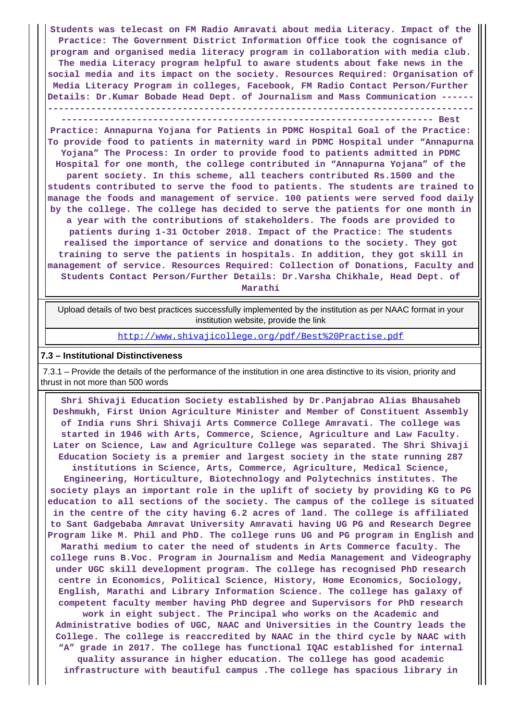**Students was telecast on FM Radio Amravati about media Literacy. Impact of the Practice: The Government District Information Office took the cognisance of program and organised media literacy program in collaboration with media club. The media Literacy program helpful to aware students about fake news in the social media and its impact on the society. Resources Required: Organisation of Media Literacy Program in colleges, Facebook, FM Radio Contact Person/Further Details: Dr.Kumar Bobade Head Dept. of Journalism and Mass Communication ------ -------------------------------------------------------------------------------**

**--------------------------------------------------------------------- Best**

**Practice: Annapurna Yojana for Patients in PDMC Hospital Goal of the Practice: To provide food to patients in maternity ward in PDMC Hospital under "Annapurna Yojana" The Process: In order to provide food to patients admitted in PDMC Hospital for one month, the college contributed in "Annapurna Yojana" of the parent society. In this scheme, all teachers contributed Rs.1500 and the students contributed to serve the food to patients. The students are trained to manage the foods and management of service. 100 patients were served food daily by the college. The college has decided to serve the patients for one month in a year with the contributions of stakeholders. The foods are provided to patients during 1-31 October 2018. Impact of the Practice: The students realised the importance of service and donations to the society. They got training to serve the patients in hospitals. In addition, they got skill in management of service. Resources Required: Collection of Donations, Faculty and Students Contact Person/Further Details: Dr.Varsha Chikhale, Head Dept. of Marathi**

 Upload details of two best practices successfully implemented by the institution as per NAAC format in your institution website, provide the link

<http://www.shivajicollege.org/pdf/Best%20Practise.pdf>

#### **7.3 – Institutional Distinctiveness**

 7.3.1 – Provide the details of the performance of the institution in one area distinctive to its vision, priority and thrust in not more than 500 words

 **Shri Shivaji Education Society established by Dr.Panjabrao Alias Bhausaheb Deshmukh, First Union Agriculture Minister and Member of Constituent Assembly of India runs Shri Shivaji Arts Commerce College Amravati. The college was started in 1946 with Arts, Commerce, Science, Agriculture and Law Faculty. Later on Science, Law and Agriculture College was separated. The Shri Shivaji Education Society is a premier and largest society in the state running 287 institutions in Science, Arts, Commerce, Agriculture, Medical Science,**

**Engineering, Horticulture, Biotechnology and Polytechnics institutes. The society plays an important role in the uplift of society by providing KG to PG education to all sections of the society. The campus of the college is situated in the centre of the city having 6.2 acres of land. The college is affiliated to Sant Gadgebaba Amravat University Amravati having UG PG and Research Degree Program like M. Phil and PhD. The college runs UG and PG program in English and**

**Marathi medium to cater the need of students in Arts Commerce faculty. The college runs B.Voc. Program in Journalism and Media Management and Videography under UGC skill development program. The college has recognised PhD research centre in Economics, Political Science, History, Home Economics, Sociology, English, Marathi and Library Information Science. The college has galaxy of competent faculty member having PhD degree and Supervisors for PhD research**

**work in eight subject. The Principal who works on the Academic and Administrative bodies of UGC, NAAC and Universities in the Country leads the College. The college is reaccredited by NAAC in the third cycle by NAAC with "A" grade in 2017. The college has functional IQAC established for internal quality assurance in higher education. The college has good academic**

**infrastructure with beautiful campus .The college has spacious library in**